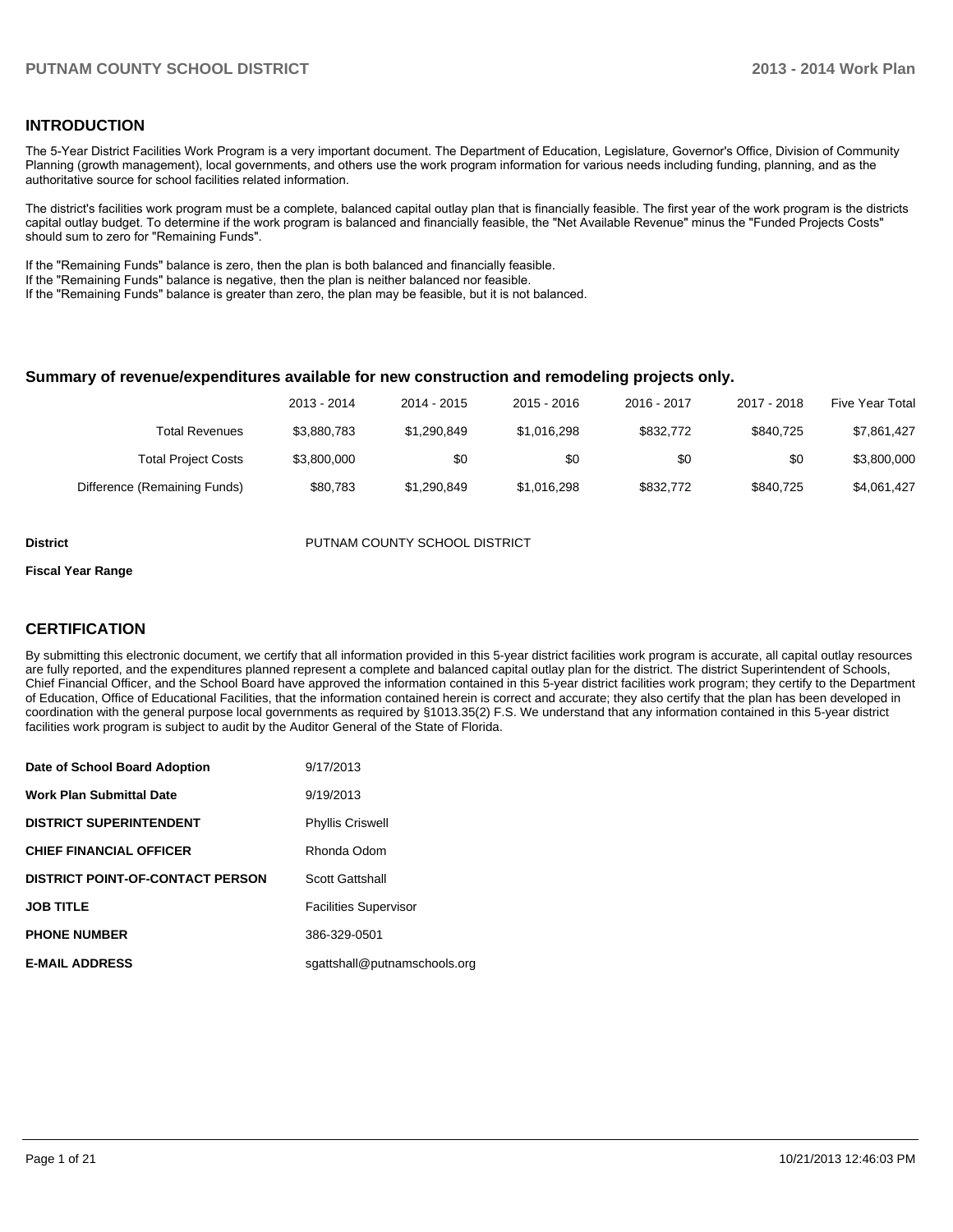#### **INTRODUCTION**

The 5-Year District Facilities Work Program is a very important document. The Department of Education, Legislature, Governor's Office, Division of Community Planning (growth management), local governments, and others use the work program information for various needs including funding, planning, and as the authoritative source for school facilities related information.

The district's facilities work program must be a complete, balanced capital outlay plan that is financially feasible. The first year of the work program is the districts capital outlay budget. To determine if the work program is balanced and financially feasible, the "Net Available Revenue" minus the "Funded Projects Costs" should sum to zero for "Remaining Funds".

If the "Remaining Funds" balance is zero, then the plan is both balanced and financially feasible.

If the "Remaining Funds" balance is negative, then the plan is neither balanced nor feasible.

If the "Remaining Funds" balance is greater than zero, the plan may be feasible, but it is not balanced.

#### **Summary of revenue/expenditures available for new construction and remodeling projects only.**

| <b>Five Year Total</b> | 2017 - 2018 | 2016 - 2017 | 2015 - 2016 | 2014 - 2015 | 2013 - 2014 |                              |
|------------------------|-------------|-------------|-------------|-------------|-------------|------------------------------|
| \$7,861,427            | \$840.725   | \$832,772   | \$1.016.298 | \$1.290.849 | \$3,880,783 | Total Revenues               |
| \$3,800,000            | \$0         | \$0         | \$0         | \$0         | \$3,800,000 | <b>Total Project Costs</b>   |
| \$4,061,427            | \$840.725   | \$832,772   | \$1.016.298 | \$1.290.849 | \$80.783    | Difference (Remaining Funds) |

**District PUTNAM COUNTY SCHOOL DISTRICT** 

#### **Fiscal Year Range**

### **CERTIFICATION**

By submitting this electronic document, we certify that all information provided in this 5-year district facilities work program is accurate, all capital outlay resources are fully reported, and the expenditures planned represent a complete and balanced capital outlay plan for the district. The district Superintendent of Schools, Chief Financial Officer, and the School Board have approved the information contained in this 5-year district facilities work program; they certify to the Department of Education, Office of Educational Facilities, that the information contained herein is correct and accurate; they also certify that the plan has been developed in coordination with the general purpose local governments as required by §1013.35(2) F.S. We understand that any information contained in this 5-year district facilities work program is subject to audit by the Auditor General of the State of Florida.

| Date of School Board Adoption           | 9/17/2013                    |
|-----------------------------------------|------------------------------|
| <b>Work Plan Submittal Date</b>         | 9/19/2013                    |
| <b>DISTRICT SUPERINTENDENT</b>          | <b>Phyllis Criswell</b>      |
| <b>CHIEF FINANCIAL OFFICER</b>          | Rhonda Odom                  |
| <b>DISTRICT POINT-OF-CONTACT PERSON</b> | <b>Scott Gattshall</b>       |
| <b>JOB TITLE</b>                        | <b>Facilities Supervisor</b> |
| <b>PHONE NUMBER</b>                     | 386-329-0501                 |
| <b>E-MAIL ADDRESS</b>                   | sgattshall@putnamschools.org |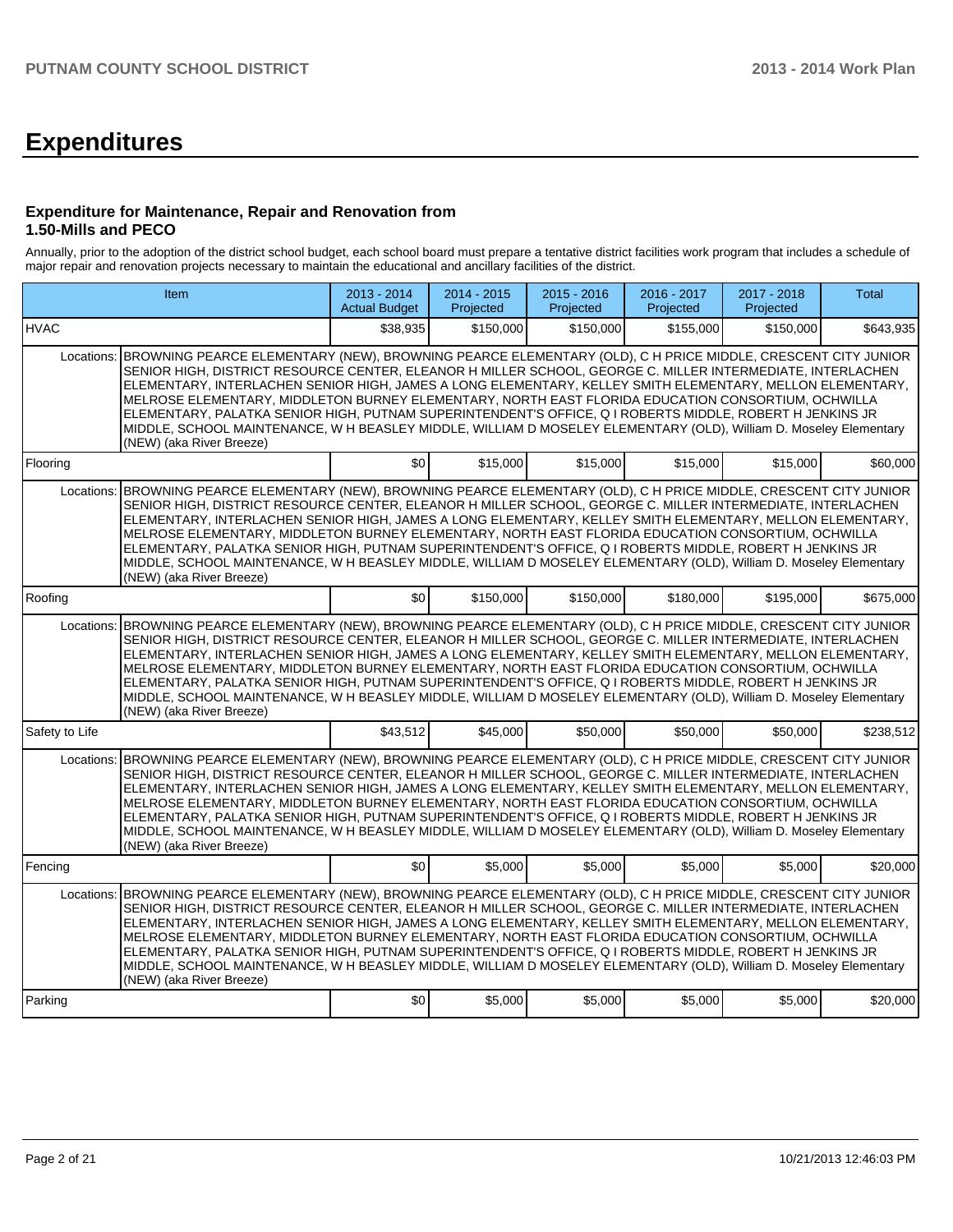# **Expenditures**

#### **Expenditure for Maintenance, Repair and Renovation from 1.50-Mills and PECO**

Annually, prior to the adoption of the district school budget, each school board must prepare a tentative district facilities work program that includes a schedule of major repair and renovation projects necessary to maintain the educational and ancillary facilities of the district.

|                | Item                                                                                                                                                                                                                                                                                                                                                                                                                                                                                                                                                                                                                                                                                                      |          | 2014 - 2015<br>Projected | 2015 - 2016<br>Projected | 2016 - 2017<br>Projected | 2017 - 2018<br>Projected | Total     |  |  |  |
|----------------|-----------------------------------------------------------------------------------------------------------------------------------------------------------------------------------------------------------------------------------------------------------------------------------------------------------------------------------------------------------------------------------------------------------------------------------------------------------------------------------------------------------------------------------------------------------------------------------------------------------------------------------------------------------------------------------------------------------|----------|--------------------------|--------------------------|--------------------------|--------------------------|-----------|--|--|--|
| <b>HVAC</b>    |                                                                                                                                                                                                                                                                                                                                                                                                                                                                                                                                                                                                                                                                                                           | \$38,935 | \$150,000                | \$150,000                | \$155,000                | \$150,000                | \$643,935 |  |  |  |
| Locations:     | BROWNING PEARCE ELEMENTARY (NEW), BROWNING PEARCE ELEMENTARY (OLD), C H PRICE MIDDLE, CRESCENT CITY JUNIOR<br>SENIOR HIGH, DISTRICT RESOURCE CENTER, ELEANOR H MILLER SCHOOL, GEORGE C. MILLER INTERMEDIATE, INTERLACHEN<br>ELEMENTARY, INTERLACHEN SENIOR HIGH, JAMES A LONG ELEMENTARY, KELLEY SMITH ELEMENTARY, MELLON ELEMENTARY,<br>MELROSE ELEMENTARY, MIDDLETON BURNEY ELEMENTARY, NORTH EAST FLORIDA EDUCATION CONSORTIUM, OCHWILLA<br>ELEMENTARY, PALATKA SENIOR HIGH, PUTNAM SUPERINTENDENT'S OFFICE, Q I ROBERTS MIDDLE, ROBERT H JENKINS JR<br>MIDDLE, SCHOOL MAINTENANCE, W H BEASLEY MIDDLE, WILLIAM D MOSELEY ELEMENTARY (OLD), William D. Moseley Elementary<br>(NEW) (aka River Breeze)  |          |                          |                          |                          |                          |           |  |  |  |
| Flooring       |                                                                                                                                                                                                                                                                                                                                                                                                                                                                                                                                                                                                                                                                                                           | \$0      | \$15,000                 | \$15,000                 | \$15,000                 | \$15,000                 | \$60,000  |  |  |  |
| Locations:     | BROWNING PEARCE ELEMENTARY (NEW), BROWNING PEARCE ELEMENTARY (OLD), C H PRICE MIDDLE, CRESCENT CITY JUNIOR<br>SENIOR HIGH, DISTRICT RESOURCE CENTER, ELEANOR H MILLER SCHOOL, GEORGE C. MILLER INTERMEDIATE, INTERLACHEN<br>ELEMENTARY, INTERLACHEN SENIOR HIGH, JAMES A LONG ELEMENTARY, KELLEY SMITH ELEMENTARY, MELLON ELEMENTARY,<br>MELROSE ELEMENTARY, MIDDLETON BURNEY ELEMENTARY, NORTH EAST FLORIDA EDUCATION CONSORTIUM, OCHWILLA<br>ELEMENTARY, PALATKA SENIOR HIGH, PUTNAM SUPERINTENDENT'S OFFICE, Q I ROBERTS MIDDLE, ROBERT H JENKINS JR<br>MIDDLE, SCHOOL MAINTENANCE, W H BEASLEY MIDDLE, WILLIAM D MOSELEY ELEMENTARY (OLD), William D. Moseley Elementary<br>(NEW) (aka River Breeze)  |          |                          |                          |                          |                          |           |  |  |  |
| Roofing        |                                                                                                                                                                                                                                                                                                                                                                                                                                                                                                                                                                                                                                                                                                           | \$0      | \$150,000                | \$150,000                | \$180,000                | \$195,000                | \$675,000 |  |  |  |
| Locations:     | BROWNING PEARCE ELEMENTARY (NEW), BROWNING PEARCE ELEMENTARY (OLD), C H PRICE MIDDLE, CRESCENT CITY JUNIOR<br>SENIOR HIGH, DISTRICT RESOURCE CENTER, ELEANOR H MILLER SCHOOL, GEORGE C. MILLER INTERMEDIATE, INTERLACHEN<br>ELEMENTARY, INTERLACHEN SENIOR HIGH, JAMES A LONG ELEMENTARY, KELLEY SMITH ELEMENTARY, MELLON ELEMENTARY,<br>MELROSE ELEMENTARY, MIDDLETON BURNEY ELEMENTARY, NORTH EAST FLORIDA EDUCATION CONSORTIUM, OCHWILLA<br>IELEMENTARY. PALATKA SENIOR HIGH. PUTNAM SUPERINTENDENT'S OFFICE. Q I ROBERTS MIDDLE. ROBERT H JENKINS JR<br>MIDDLE, SCHOOL MAINTENANCE, W H BEASLEY MIDDLE, WILLIAM D MOSELEY ELEMENTARY (OLD), William D. Moseley Elementary<br>(NEW) (aka River Breeze) |          |                          |                          |                          |                          |           |  |  |  |
| Safety to Life |                                                                                                                                                                                                                                                                                                                                                                                                                                                                                                                                                                                                                                                                                                           | \$43,512 | \$45,000                 | \$50,000                 | \$50,000                 | \$50,000                 | \$238,512 |  |  |  |
| Locations:     | BROWNING PEARCE ELEMENTARY (NEW), BROWNING PEARCE ELEMENTARY (OLD), C H PRICE MIDDLE, CRESCENT CITY JUNIOR<br>SENIOR HIGH, DISTRICT RESOURCE CENTER, ELEANOR H MILLER SCHOOL, GEORGE C. MILLER INTERMEDIATE, INTERLACHEN<br>ELEMENTARY, INTERLACHEN SENIOR HIGH, JAMES A LONG ELEMENTARY, KELLEY SMITH ELEMENTARY, MELLON ELEMENTARY,<br>MELROSE ELEMENTARY. MIDDLETON BURNEY ELEMENTARY. NORTH EAST FLORIDA EDUCATION CONSORTIUM. OCHWILLA<br>ELEMENTARY, PALATKA SENIOR HIGH, PUTNAM SUPERINTENDENT'S OFFICE, Q I ROBERTS MIDDLE, ROBERT H JENKINS JR<br>MIDDLE, SCHOOL MAINTENANCE, W H BEASLEY MIDDLE, WILLIAM D MOSELEY ELEMENTARY (OLD), William D. Moseley Elementary<br>(NEW) (aka River Breeze)  |          |                          |                          |                          |                          |           |  |  |  |
| Fencing        |                                                                                                                                                                                                                                                                                                                                                                                                                                                                                                                                                                                                                                                                                                           | \$0      | \$5,000                  | \$5,000                  | \$5,000                  | \$5,000                  | \$20,000  |  |  |  |
| Locations:     | BROWNING PEARCE ELEMENTARY (NEW), BROWNING PEARCE ELEMENTARY (OLD), C H PRICE MIDDLE, CRESCENT CITY JUNIOR<br>SENIOR HIGH, DISTRICT RESOURCE CENTER, ELEANOR H MILLER SCHOOL, GEORGE C. MILLER INTERMEDIATE, INTERLACHEN<br>ELEMENTARY, INTERLACHEN SENIOR HIGH, JAMES A LONG ELEMENTARY, KELLEY SMITH ELEMENTARY, MELLON ELEMENTARY,<br>MELROSE ELEMENTARY, MIDDLETON BURNEY ELEMENTARY, NORTH EAST FLORIDA EDUCATION CONSORTIUM, OCHWILLA<br>ELEMENTARY, PALATKA SENIOR HIGH, PUTNAM SUPERINTENDENT'S OFFICE, Q I ROBERTS MIDDLE, ROBERT H JENKINS JR<br>MIDDLE, SCHOOL MAINTENANCE, W H BEASLEY MIDDLE, WILLIAM D MOSELEY ELEMENTARY (OLD), William D. Moseley Elementary<br>(NEW) (aka River Breeze)  |          |                          |                          |                          |                          |           |  |  |  |
| Parking        |                                                                                                                                                                                                                                                                                                                                                                                                                                                                                                                                                                                                                                                                                                           | \$0      | \$5,000                  | \$5,000                  | \$5,000                  | \$5,000                  | \$20,000  |  |  |  |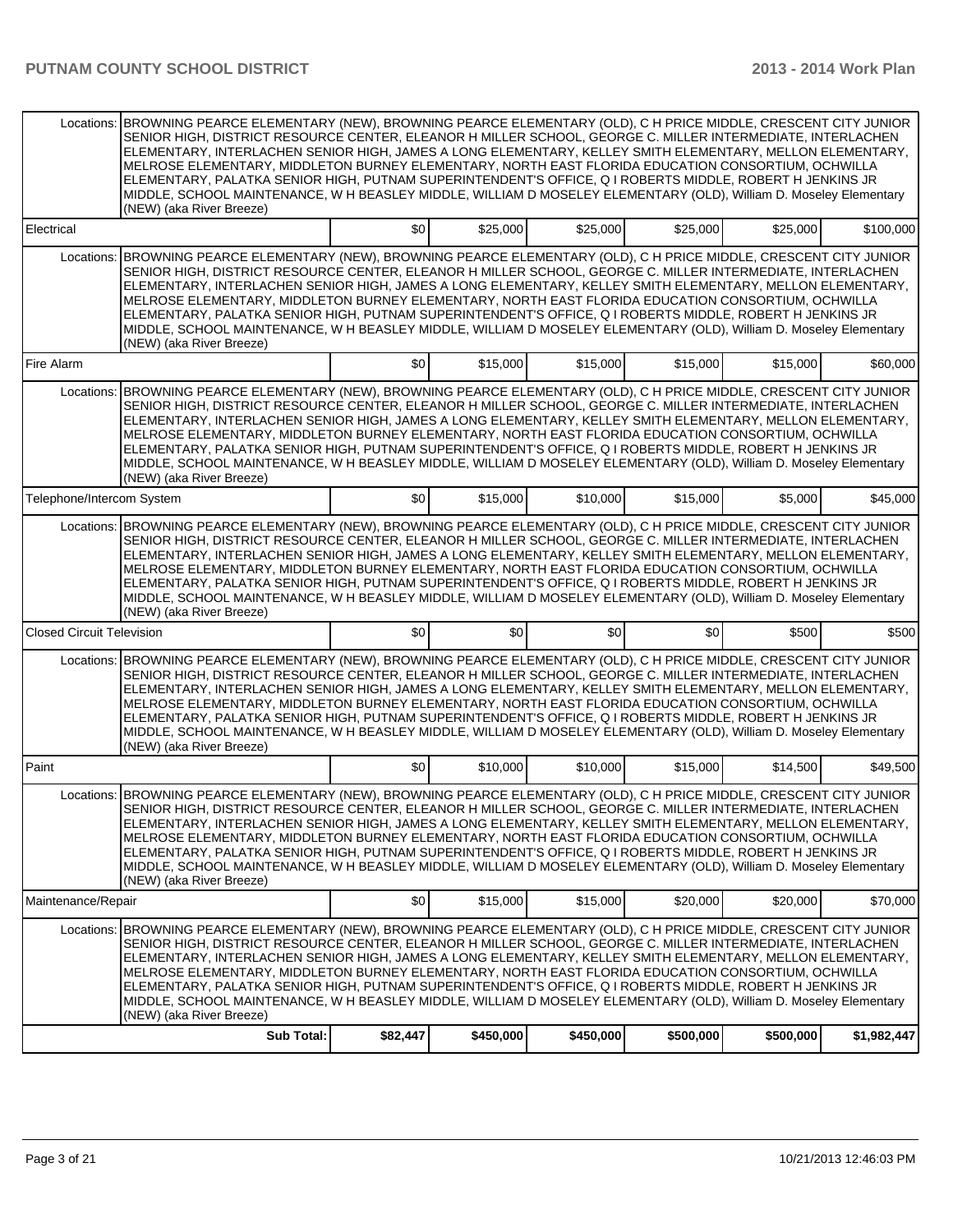|                                  | Locations: BROWNING PEARCE ELEMENTARY (NEW), BROWNING PEARCE ELEMENTARY (OLD), C H PRICE MIDDLE, CRESCENT CITY JUNIOR<br>SENIOR HIGH, DISTRICT RESOURCE CENTER, ELEANOR H MILLER SCHOOL, GEORGE C. MILLER INTERMEDIATE, INTERLACHEN<br>ELEMENTARY. INTERLACHEN SENIOR HIGH. JAMES A LONG ELEMENTARY. KELLEY SMITH ELEMENTARY. MELLON ELEMENTARY.<br>MELROSE ELEMENTARY, MIDDLETON BURNEY ELEMENTARY, NORTH EAST FLORIDA EDUCATION CONSORTIUM, OCHWILLA<br>ELEMENTARY, PALATKA SENIOR HIGH, PUTNAM SUPERINTENDENT'S OFFICE, Q I ROBERTS MIDDLE, ROBERT H JENKINS JR<br>MIDDLE, SCHOOL MAINTENANCE, W H BEASLEY MIDDLE, WILLIAM D MOSELEY ELEMENTARY (OLD), William D. Moseley Elementary<br>(NEW) (aka River Breeze) |          |           |           |           |           |             |
|----------------------------------|---------------------------------------------------------------------------------------------------------------------------------------------------------------------------------------------------------------------------------------------------------------------------------------------------------------------------------------------------------------------------------------------------------------------------------------------------------------------------------------------------------------------------------------------------------------------------------------------------------------------------------------------------------------------------------------------------------------------|----------|-----------|-----------|-----------|-----------|-------------|
| Electrical                       |                                                                                                                                                                                                                                                                                                                                                                                                                                                                                                                                                                                                                                                                                                                     | \$0      | \$25,000  | \$25,000  | \$25,000  | \$25,000  | \$100,000   |
|                                  | Locations: BROWNING PEARCE ELEMENTARY (NEW), BROWNING PEARCE ELEMENTARY (OLD), C H PRICE MIDDLE, CRESCENT CITY JUNIOR<br>SENIOR HIGH, DISTRICT RESOURCE CENTER, ELEANOR H MILLER SCHOOL, GEORGE C. MILLER INTERMEDIATE, INTERLACHEN<br>ELEMENTARY, INTERLACHEN SENIOR HIGH, JAMES A LONG ELEMENTARY, KELLEY SMITH ELEMENTARY, MELLON ELEMENTARY,<br>MELROSE ELEMENTARY, MIDDLETON BURNEY ELEMENTARY, NORTH EAST FLORIDA EDUCATION CONSORTIUM, OCHWILLA<br>ELEMENTARY, PALATKA SENIOR HIGH, PUTNAM SUPERINTENDENT'S OFFICE, Q I ROBERTS MIDDLE, ROBERT H JENKINS JR<br>MIDDLE, SCHOOL MAINTENANCE, W H BEASLEY MIDDLE, WILLIAM D MOSELEY ELEMENTARY (OLD), William D. Moseley Elementary<br>(NEW) (aka River Breeze) |          |           |           |           |           |             |
| Fire Alarm                       |                                                                                                                                                                                                                                                                                                                                                                                                                                                                                                                                                                                                                                                                                                                     | \$0      | \$15,000  | \$15,000  | \$15,000  | \$15,000  | \$60,000    |
|                                  | Locations: BROWNING PEARCE ELEMENTARY (NEW), BROWNING PEARCE ELEMENTARY (OLD), C H PRICE MIDDLE, CRESCENT CITY JUNIOR<br>SENIOR HIGH, DISTRICT RESOURCE CENTER, ELEANOR H MILLER SCHOOL, GEORGE C. MILLER INTERMEDIATE, INTERLACHEN<br>ELEMENTARY, INTERLACHEN SENIOR HIGH, JAMES A LONG ELEMENTARY, KELLEY SMITH ELEMENTARY, MELLON ELEMENTARY,<br>MELROSE ELEMENTARY, MIDDLETON BURNEY ELEMENTARY, NORTH EAST FLORIDA EDUCATION CONSORTIUM, OCHWILLA<br>ELEMENTARY, PALATKA SENIOR HIGH, PUTNAM SUPERINTENDENT'S OFFICE, Q I ROBERTS MIDDLE, ROBERT H JENKINS JR<br>MIDDLE, SCHOOL MAINTENANCE, W H BEASLEY MIDDLE, WILLIAM D MOSELEY ELEMENTARY (OLD), William D. Moseley Elementary<br>(NEW) (aka River Breeze) |          |           |           |           |           |             |
| Telephone/Intercom System        |                                                                                                                                                                                                                                                                                                                                                                                                                                                                                                                                                                                                                                                                                                                     | \$0      | \$15,000  | \$10,000  | \$15,000  | \$5,000   | \$45,000    |
|                                  | Locations: BROWNING PEARCE ELEMENTARY (NEW), BROWNING PEARCE ELEMENTARY (OLD), C H PRICE MIDDLE, CRESCENT CITY JUNIOR<br>SENIOR HIGH, DISTRICT RESOURCE CENTER, ELEANOR H MILLER SCHOOL, GEORGE C. MILLER INTERMEDIATE, INTERLACHEN<br>ELEMENTARY, INTERLACHEN SENIOR HIGH, JAMES A LONG ELEMENTARY, KELLEY SMITH ELEMENTARY, MELLON ELEMENTARY,<br>MELROSE ELEMENTARY, MIDDLETON BURNEY ELEMENTARY, NORTH EAST FLORIDA EDUCATION CONSORTIUM, OCHWILLA<br>ELEMENTARY, PALATKA SENIOR HIGH, PUTNAM SUPERINTENDENT'S OFFICE, Q I ROBERTS MIDDLE, ROBERT H JENKINS JR<br>MIDDLE, SCHOOL MAINTENANCE, W H BEASLEY MIDDLE, WILLIAM D MOSELEY ELEMENTARY (OLD), William D. Moseley Elementary<br>(NEW) (aka River Breeze) |          |           |           |           |           |             |
| <b>Closed Circuit Television</b> |                                                                                                                                                                                                                                                                                                                                                                                                                                                                                                                                                                                                                                                                                                                     | \$0      | \$0       | \$0       | \$0       | \$500     | \$500       |
| Locations:                       | BROWNING PEARCE ELEMENTARY (NEW), BROWNING PEARCE ELEMENTARY (OLD), C H PRICE MIDDLE, CRESCENT CITY JUNIOR<br>SENIOR HIGH, DISTRICT RESOURCE CENTER, ELEANOR H MILLER SCHOOL, GEORGE C. MILLER INTERMEDIATE, INTERLACHEN<br>ELEMENTARY, INTERLACHEN SENIOR HIGH, JAMES A LONG ELEMENTARY, KELLEY SMITH ELEMENTARY, MELLON ELEMENTARY,<br>MELROSE ELEMENTARY, MIDDLETON BURNEY ELEMENTARY, NORTH EAST FLORIDA EDUCATION CONSORTIUM, OCHWILLA<br>ELEMENTARY, PALATKA SENIOR HIGH, PUTNAM SUPERINTENDENT'S OFFICE, Q I ROBERTS MIDDLE, ROBERT H JENKINS JR<br>MIDDLE, SCHOOL MAINTENANCE, W H BEASLEY MIDDLE, WILLIAM D MOSELEY ELEMENTARY (OLD), William D. Moseley Elementary<br>(NEW) (aka River Breeze)            |          |           |           |           |           |             |
| Paint                            |                                                                                                                                                                                                                                                                                                                                                                                                                                                                                                                                                                                                                                                                                                                     | \$0      | \$10,000  | \$10,000  | \$15,000  | \$14,500  | \$49,500    |
|                                  | Locations: BROWNING PEARCE ELEMENTARY (NEW), BROWNING PEARCE ELEMENTARY (OLD), C H PRICE MIDDLE, CRESCENT CITY JUNIOR<br>SENIOR HIGH, DISTRICT RESOURCE CENTER, ELEANOR H MILLER SCHOOL, GEORGE C. MILLER INTERMEDIATE, INTERLACHEN<br>ELEMENTARY, INTERLACHEN SENIOR HIGH, JAMES A LONG ELEMENTARY, KELLEY SMITH ELEMENTARY, MELLON ELEMENTARY,<br>MELROSE ELEMENTARY. MIDDLETON BURNEY ELEMENTARY. NORTH EAST FLORIDA EDUCATION CONSORTIUM. OCHWILLA<br>ELEMENTARY, PALATKA SENIOR HIGH, PUTNAM SUPERINTENDENT'S OFFICE, Q I ROBERTS MIDDLE, ROBERT H JENKINS JR<br>MIDDLE, SCHOOL MAINTENANCE, W H BEASLEY MIDDLE, WILLIAM D MOSELEY ELEMENTARY (OLD), William D. Moseley Elementary<br>(NEW) (aka River Breeze) |          |           |           |           |           |             |
| Maintenance/Repair               |                                                                                                                                                                                                                                                                                                                                                                                                                                                                                                                                                                                                                                                                                                                     | \$0      | \$15,000  | \$15,000  | \$20,000  | \$20,000  | \$70,000    |
|                                  | Locations: BROWNING PEARCE ELEMENTARY (NEW), BROWNING PEARCE ELEMENTARY (OLD), C H PRICE MIDDLE, CRESCENT CITY JUNIOR<br>SENIOR HIGH, DISTRICT RESOURCE CENTER, ELEANOR H MILLER SCHOOL, GEORGE C. MILLER INTERMEDIATE, INTERLACHEN<br>ELEMENTARY, INTERLACHEN SENIOR HIGH, JAMES A LONG ELEMENTARY, KELLEY SMITH ELEMENTARY, MELLON ELEMENTARY,<br>MELROSE ELEMENTARY, MIDDLETON BURNEY ELEMENTARY, NORTH EAST FLORIDA EDUCATION CONSORTIUM, OCHWILLA<br>ELEMENTARY, PALATKA SENIOR HIGH, PUTNAM SUPERINTENDENT'S OFFICE, Q I ROBERTS MIDDLE, ROBERT H JENKINS JR<br>MIDDLE, SCHOOL MAINTENANCE, W H BEASLEY MIDDLE, WILLIAM D MOSELEY ELEMENTARY (OLD), William D. Moseley Elementary<br>(NEW) (aka River Breeze) |          |           |           |           |           |             |
|                                  | <b>Sub Total:</b>                                                                                                                                                                                                                                                                                                                                                                                                                                                                                                                                                                                                                                                                                                   | \$82,447 | \$450,000 | \$450,000 | \$500,000 | \$500,000 | \$1,982,447 |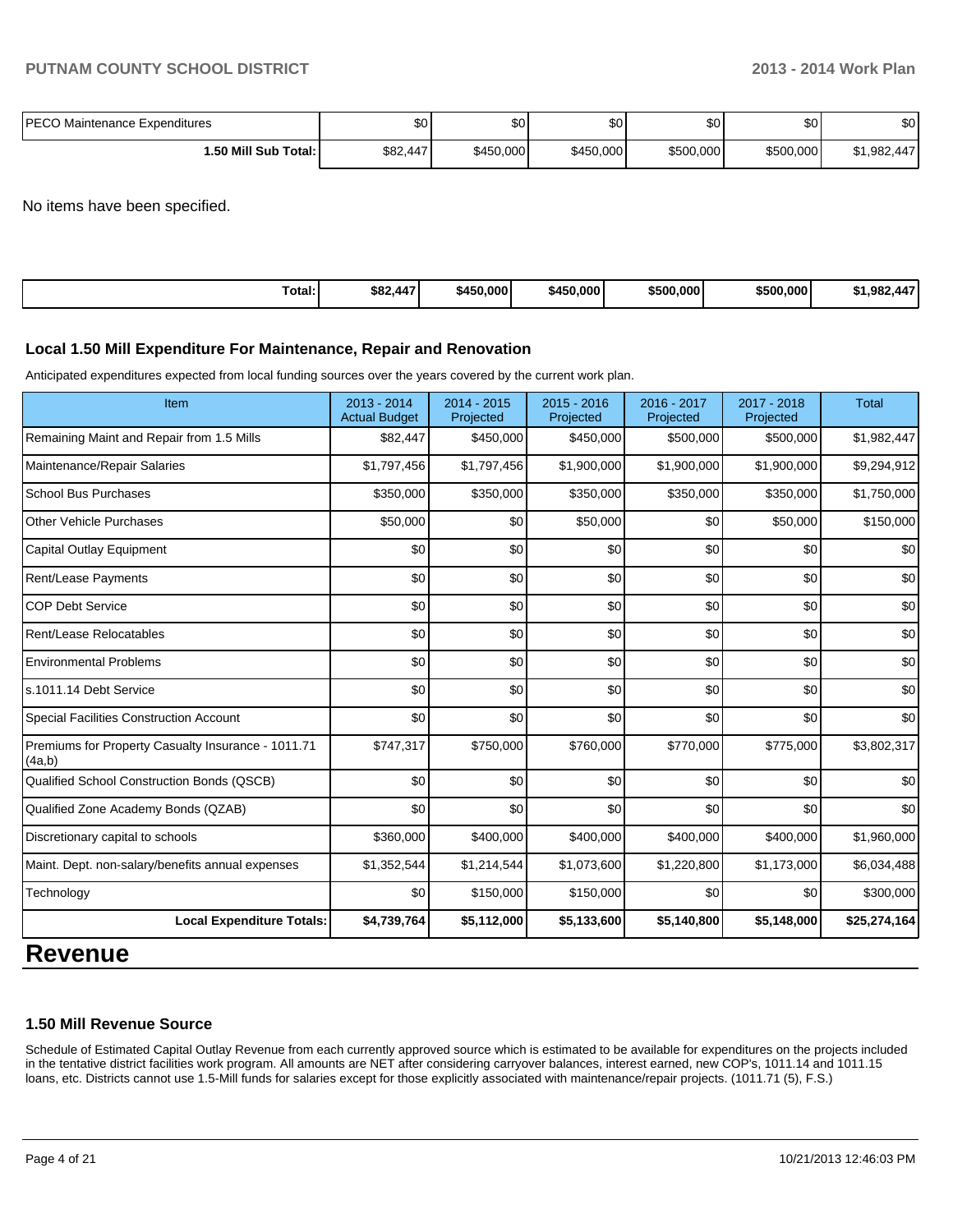| <b>IPECO Maintenance Expenditures</b> | \$0      | ጦጣ<br>Ψ⊌  | \$0 <sub>1</sub> | ሶስ<br>JU. | \$0 <sub>1</sub> | ¢Λ<br>ΦU |
|---------------------------------------|----------|-----------|------------------|-----------|------------------|----------|
| 1.50 Mill Sub Total:                  | \$82,447 | \$450,000 | \$450,000        | \$500,000 | \$500,000        | .982.447 |

No items have been specified.

| Total:<br>\$450,000<br>\$500,000<br>\$500,000<br>\$82,447<br>\$450,000<br>.<br>\$1.982<br>44 |
|----------------------------------------------------------------------------------------------|
|----------------------------------------------------------------------------------------------|

#### **Local 1.50 Mill Expenditure For Maintenance, Repair and Renovation**

Anticipated expenditures expected from local funding sources over the years covered by the current work plan.

| Item                                                         | 2013 - 2014<br><b>Actual Budget</b> | 2014 - 2015<br>Projected | $2015 - 2016$<br>Projected | 2016 - 2017<br>Projected | 2017 - 2018<br>Projected | <b>Total</b> |
|--------------------------------------------------------------|-------------------------------------|--------------------------|----------------------------|--------------------------|--------------------------|--------------|
| Remaining Maint and Repair from 1.5 Mills                    | \$82,447                            | \$450,000                | \$450,000                  | \$500,000                | \$500,000                | \$1,982,447  |
| Maintenance/Repair Salaries                                  | \$1,797,456                         | \$1,797,456              | \$1,900,000                | \$1,900,000              | \$1,900,000              | \$9,294,912  |
| <b>School Bus Purchases</b>                                  | \$350,000                           | \$350,000                | \$350,000                  | \$350,000                | \$350,000                | \$1,750,000  |
| <b>Other Vehicle Purchases</b>                               | \$50,000                            | \$0                      | \$50,000                   | \$0                      | \$50,000                 | \$150,000    |
| <b>Capital Outlay Equipment</b>                              | \$0                                 | \$0                      | \$0                        | \$0                      | \$0                      | \$0          |
| Rent/Lease Payments                                          | \$0                                 | \$0                      | \$0                        | \$0                      | \$0                      | \$0          |
| <b>COP Debt Service</b>                                      | \$0                                 | \$0                      | \$0                        | \$0                      | \$0                      | \$0          |
| Rent/Lease Relocatables                                      | \$0                                 | \$0                      | \$0                        | \$0                      | \$0                      | \$0          |
| <b>Environmental Problems</b>                                | \$0                                 | \$0                      | \$0                        | \$0                      | \$0                      | \$0          |
| s.1011.14 Debt Service                                       | \$0                                 | \$0                      | \$0                        | \$0                      | \$0                      | \$0          |
| <b>Special Facilities Construction Account</b>               | \$0                                 | \$0                      | \$0                        | \$0                      | \$0                      | \$0          |
| Premiums for Property Casualty Insurance - 1011.71<br>(4a,b) | \$747,317                           | \$750,000                | \$760,000                  | \$770,000                | \$775,000                | \$3,802,317  |
| Qualified School Construction Bonds (QSCB)                   | \$0                                 | \$0                      | \$0                        | \$0                      | \$0                      | \$0          |
| Qualified Zone Academy Bonds (QZAB)                          | \$0                                 | \$0                      | \$0                        | \$0                      | \$0                      | \$0          |
| Discretionary capital to schools                             | \$360,000                           | \$400,000                | \$400,000                  | \$400,000                | \$400,000                | \$1,960,000  |
| Maint. Dept. non-salary/benefits annual expenses             | \$1,352,544                         | \$1,214,544              | \$1,073,600                | \$1,220,800              | \$1,173,000              | \$6,034,488  |
| Technology                                                   | \$0                                 | \$150,000                | \$150,000                  | \$0                      | \$0                      | \$300,000    |
| <b>Local Expenditure Totals:</b>                             | \$4,739,764                         | \$5,112,000              | \$5,133,600                | \$5,140,800              | \$5,148,000              | \$25,274,164 |

# **Revenue**

#### **1.50 Mill Revenue Source**

Schedule of Estimated Capital Outlay Revenue from each currently approved source which is estimated to be available for expenditures on the projects included in the tentative district facilities work program. All amounts are NET after considering carryover balances, interest earned, new COP's, 1011.14 and 1011.15 loans, etc. Districts cannot use 1.5-Mill funds for salaries except for those explicitly associated with maintenance/repair projects. (1011.71 (5), F.S.)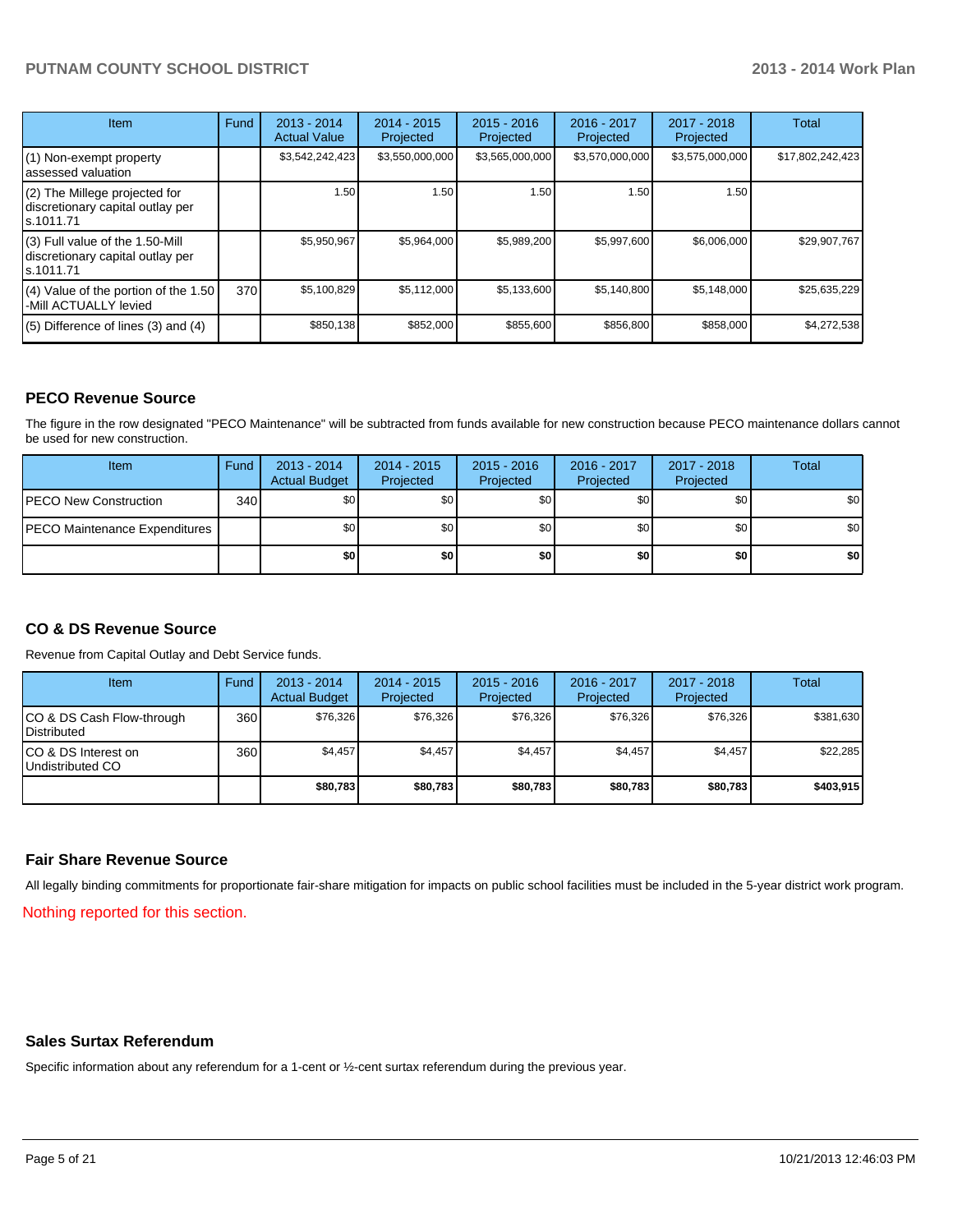| <b>Item</b>                                                                       | Fund | 2013 - 2014<br><b>Actual Value</b> | $2014 - 2015$<br>Projected | $2015 - 2016$<br>Projected | 2016 - 2017<br>Projected | $2017 - 2018$<br>Projected | Total            |
|-----------------------------------------------------------------------------------|------|------------------------------------|----------------------------|----------------------------|--------------------------|----------------------------|------------------|
| (1) Non-exempt property<br>lassessed valuation                                    |      | \$3,542,242,423                    | \$3,550,000,000            | \$3,565,000,000            | \$3,570,000,000          | \$3,575,000,000            | \$17,802,242,423 |
| (2) The Millege projected for<br>discretionary capital outlay per<br>ls.1011.71   |      | 1.50                               | 1.50                       | 1.50                       | 1.50                     | 1.50                       |                  |
| (3) Full value of the 1.50-Mill<br>discretionary capital outlay per<br>ls.1011.71 |      | \$5,950,967                        | \$5,964,000                | \$5,989,200                | \$5,997,600              | \$6,006,000                | \$29,907,767     |
| (4) Value of the portion of the 1.50<br>-Mill ACTUALLY levied                     | 370  | \$5,100,829                        | \$5,112,000                | \$5,133,600                | \$5,140,800              | \$5,148,000                | \$25,635,229     |
| $(5)$ Difference of lines $(3)$ and $(4)$                                         |      | \$850,138                          | \$852,000                  | \$855,600                  | \$856,800                | \$858,000                  | \$4,272,538      |

## **PECO Revenue Source**

The figure in the row designated "PECO Maintenance" will be subtracted from funds available for new construction because PECO maintenance dollars cannot be used for new construction.

| <b>Item</b>                           | Fund | $2013 - 2014$<br><b>Actual Budget</b> | $2014 - 2015$<br>Projected | $2015 - 2016$<br>Projected | $2016 - 2017$<br>Projected | 2017 - 2018<br>Projected | <b>Total</b>     |
|---------------------------------------|------|---------------------------------------|----------------------------|----------------------------|----------------------------|--------------------------|------------------|
| <b>IPECO New Construction</b>         | 340  | \$0                                   | \$0 <sub>1</sub>           | \$0                        | \$0                        | \$0                      | \$0 <sub>1</sub> |
| <b>IPECO Maintenance Expenditures</b> |      | \$0                                   | \$0 <sub>1</sub>           | \$0                        | \$0                        | \$0                      | \$0 <sub>1</sub> |
|                                       |      | \$0                                   | \$0                        | \$0                        | \$0                        | \$0                      | \$0              |

## **CO & DS Revenue Source**

Revenue from Capital Outlay and Debt Service funds.

| Item                                              | Fund | $2013 - 2014$<br><b>Actual Budget</b> | $2014 - 2015$<br>Projected | $2015 - 2016$<br>Projected | $2016 - 2017$<br>Projected | $2017 - 2018$<br>Projected | Total     |
|---------------------------------------------------|------|---------------------------------------|----------------------------|----------------------------|----------------------------|----------------------------|-----------|
| ICO & DS Cash Flow-through<br><b>IDistributed</b> | 360  | \$76,326                              | \$76,326                   | \$76.326                   | \$76,326                   | \$76,326                   | \$381,630 |
| ICO & DS Interest on<br>Undistributed CO          | 360  | \$4.457                               | \$4.457                    | \$4,457                    | \$4.457                    | \$4.457                    | \$22.285  |
|                                                   |      | \$80,783                              | \$80,783                   | \$80,783                   | \$80,783                   | \$80,783                   | \$403,915 |

#### **Fair Share Revenue Source**

All legally binding commitments for proportionate fair-share mitigation for impacts on public school facilities must be included in the 5-year district work program.

Nothing reported for this section.

#### **Sales Surtax Referendum**

Specific information about any referendum for a 1-cent or ½-cent surtax referendum during the previous year.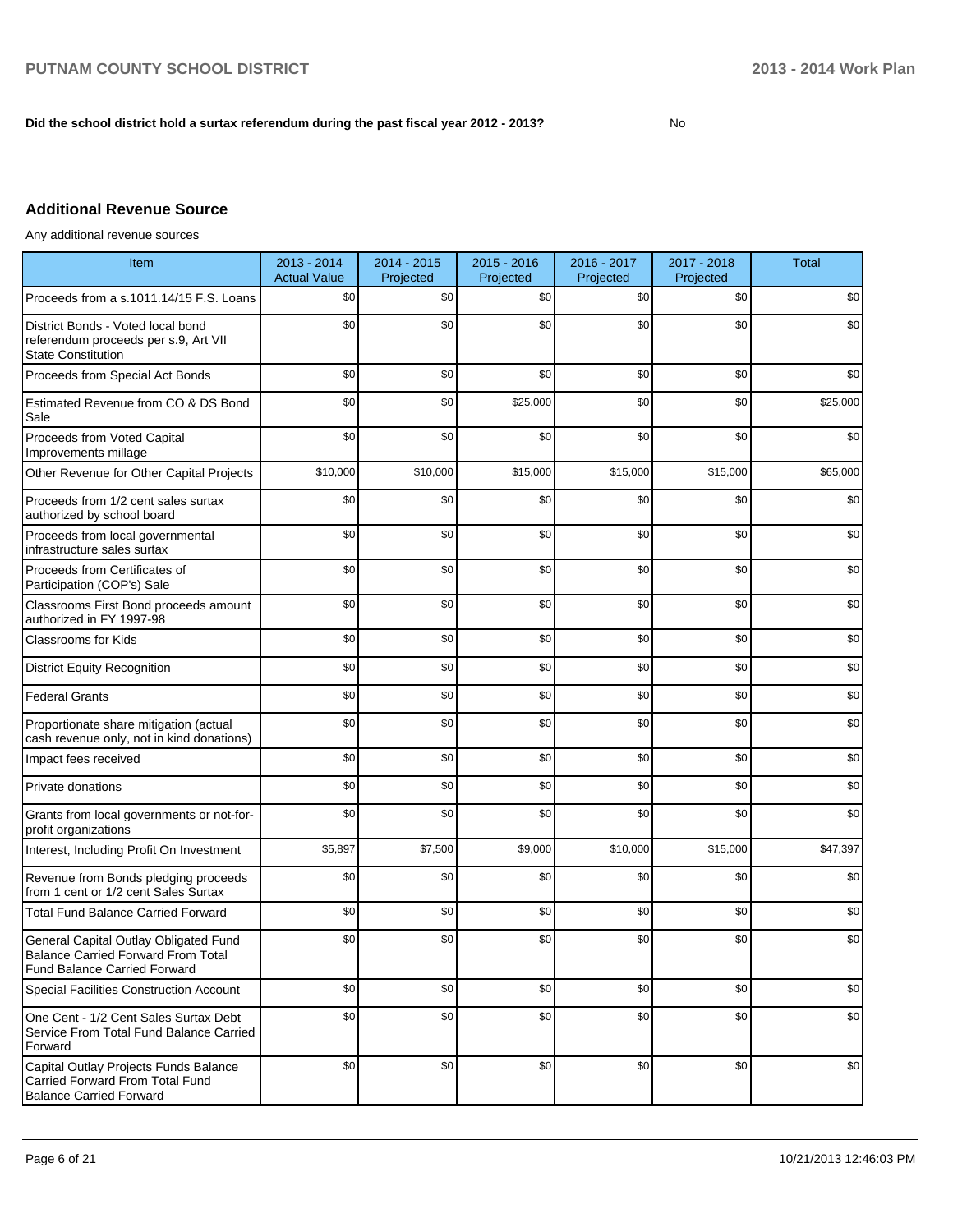#### **Did the school district hold a surtax referendum during the past fiscal year 2012 - 2013?**

No

# **Additional Revenue Source**

Any additional revenue sources

| Item                                                                                                                      | 2013 - 2014<br><b>Actual Value</b> | 2014 - 2015<br>Projected | 2015 - 2016<br>Projected | 2016 - 2017<br>Projected | 2017 - 2018<br>Projected | <b>Total</b> |
|---------------------------------------------------------------------------------------------------------------------------|------------------------------------|--------------------------|--------------------------|--------------------------|--------------------------|--------------|
| Proceeds from a s.1011.14/15 F.S. Loans                                                                                   | \$0                                | \$0                      | \$0                      | \$0                      | \$0                      | \$0          |
| District Bonds - Voted local bond<br>referendum proceeds per s.9, Art VII<br><b>State Constitution</b>                    | \$0                                | \$0                      | \$0                      | \$0                      | \$0                      | \$0          |
| Proceeds from Special Act Bonds                                                                                           | \$0                                | \$0                      | \$0                      | \$0                      | \$0                      | \$0          |
| Estimated Revenue from CO & DS Bond<br>Sale                                                                               | \$0                                | \$0                      | \$25,000                 | \$0                      | \$0                      | \$25,000     |
| Proceeds from Voted Capital<br>Improvements millage                                                                       | \$0                                | \$0                      | \$0                      | \$0                      | \$0                      | \$0          |
| Other Revenue for Other Capital Projects                                                                                  | \$10,000                           | \$10,000                 | \$15,000                 | \$15,000                 | \$15,000                 | \$65,000     |
| Proceeds from 1/2 cent sales surtax<br>authorized by school board                                                         | \$0                                | \$0                      | \$0                      | \$0                      | \$0                      | \$0          |
| Proceeds from local governmental<br>infrastructure sales surtax                                                           | \$0                                | \$0                      | \$0                      | \$0                      | \$0                      | \$0          |
| Proceeds from Certificates of<br>Participation (COP's) Sale                                                               | \$0                                | \$0                      | \$0                      | \$0                      | \$0                      | \$0          |
| Classrooms First Bond proceeds amount<br>authorized in FY 1997-98                                                         | \$0                                | \$0                      | \$0                      | \$0                      | \$0                      | \$0          |
| <b>Classrooms for Kids</b>                                                                                                | \$0                                | \$0                      | \$0                      | \$0                      | \$0                      | \$0          |
| <b>District Equity Recognition</b>                                                                                        | \$0                                | \$0                      | \$0                      | \$0                      | \$0                      | \$0          |
| <b>Federal Grants</b>                                                                                                     | \$0                                | \$0                      | \$0                      | \$0                      | \$0                      | \$0          |
| Proportionate share mitigation (actual<br>cash revenue only, not in kind donations)                                       | \$0                                | \$0                      | \$0                      | \$0                      | \$0                      | \$0          |
| Impact fees received                                                                                                      | \$0                                | \$0                      | \$0                      | \$0                      | \$0                      | \$0          |
| Private donations                                                                                                         | \$0                                | \$0                      | \$0                      | \$0                      | \$0                      | \$0          |
| Grants from local governments or not-for-<br>profit organizations                                                         | \$0                                | \$0                      | \$0                      | \$0                      | \$0                      | \$0          |
| Interest, Including Profit On Investment                                                                                  | \$5,897                            | \$7,500                  | \$9,000                  | \$10,000                 | \$15,000                 | \$47,397     |
| Revenue from Bonds pledging proceeds<br>from 1 cent or 1/2 cent Sales Surtax                                              | \$0                                | \$0                      | \$0                      | \$0                      | \$0                      | \$0          |
| <b>Total Fund Balance Carried Forward</b>                                                                                 | \$0                                | \$0                      | \$0                      | \$0                      | \$0                      | \$0          |
| General Capital Outlay Obligated Fund<br><b>Balance Carried Forward From Total</b><br><b>Fund Balance Carried Forward</b> | \$0                                | \$0                      | \$0                      | \$0                      | \$0                      | \$0          |
| Special Facilities Construction Account                                                                                   | \$0                                | \$0                      | \$0                      | \$0                      | \$0                      | \$0          |
| One Cent - 1/2 Cent Sales Surtax Debt<br>Service From Total Fund Balance Carried<br>Forward                               | \$0                                | \$0                      | \$0                      | \$0                      | \$0                      | \$0          |
| Capital Outlay Projects Funds Balance<br>Carried Forward From Total Fund<br><b>Balance Carried Forward</b>                | \$0                                | \$0                      | \$0                      | \$0                      | \$0                      | \$0          |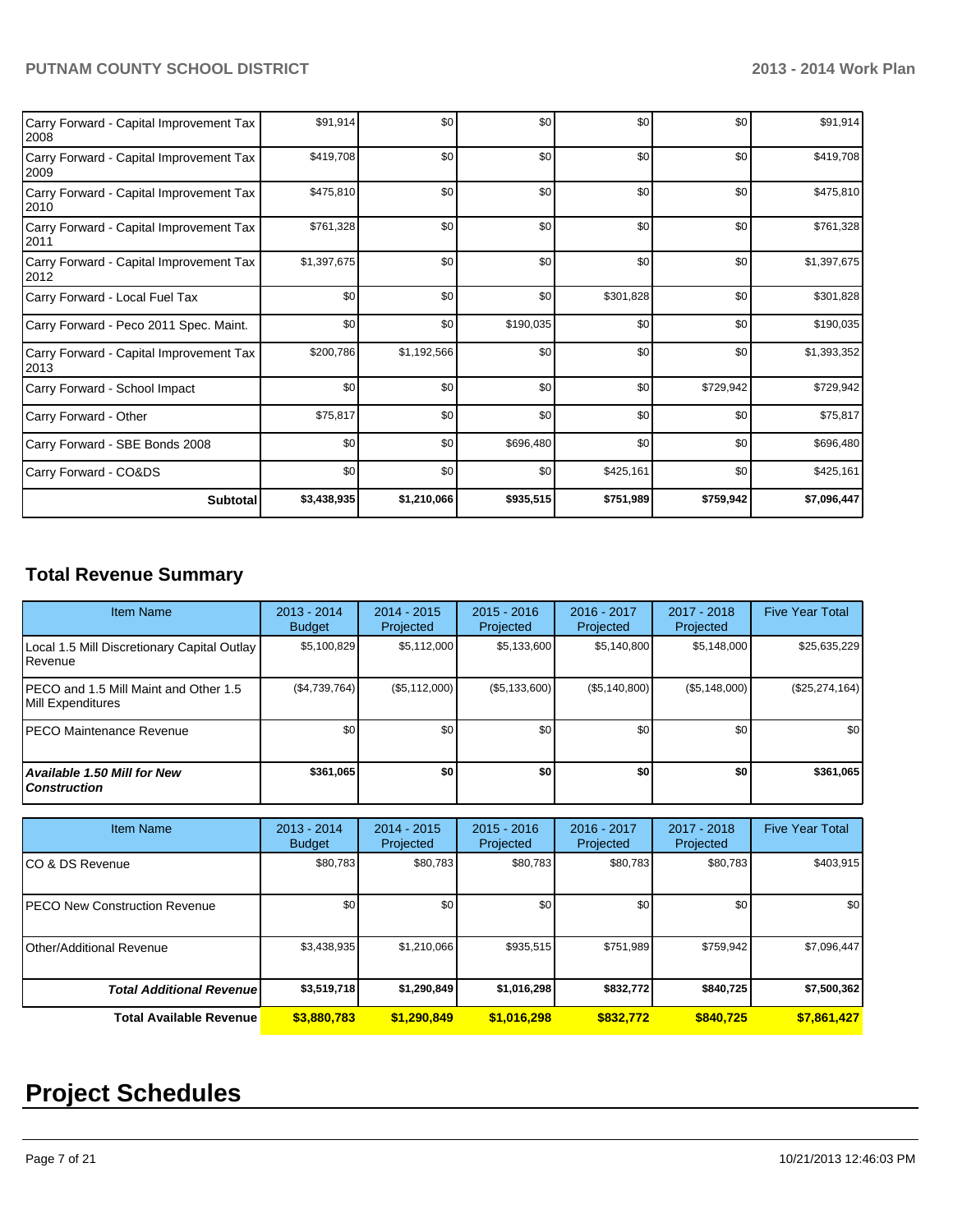| Carry Forward - Capital Improvement Tax<br>2008  | \$91,914    | \$0         | \$0       | \$0       | \$0       | \$91,914    |
|--------------------------------------------------|-------------|-------------|-----------|-----------|-----------|-------------|
| Carry Forward - Capital Improvement Tax<br>2009  | \$419,708   | \$0         | \$0       | \$0       | \$0       | \$419,708   |
| Carry Forward - Capital Improvement Tax<br>2010  | \$475,810   | \$0         | \$0       | \$0       | \$0       | \$475,810   |
| Carry Forward - Capital Improvement Tax<br> 2011 | \$761,328   | \$0         | \$0       | \$0       | \$0       | \$761,328   |
| Carry Forward - Capital Improvement Tax<br>2012  | \$1,397,675 | \$0         | \$0       | \$0       | \$0       | \$1,397,675 |
| Carry Forward - Local Fuel Tax                   | \$0         | \$0         | \$0       | \$301,828 | \$0       | \$301,828   |
| Carry Forward - Peco 2011 Spec. Maint.           | \$0         | \$0         | \$190,035 | \$0       | \$0       | \$190,035   |
| Carry Forward - Capital Improvement Tax<br>2013  | \$200,786   | \$1,192,566 | \$0       | \$0       | \$0       | \$1,393,352 |
| Carry Forward - School Impact                    | \$0         | \$0         | \$0       | \$0       | \$729,942 | \$729,942   |
| Carry Forward - Other                            | \$75,817    | \$0         | \$0       | \$0       | \$0       | \$75,817    |
| Carry Forward - SBE Bonds 2008                   | \$0         | \$0         | \$696,480 | \$0       | \$0       | \$696,480   |
| Carry Forward - CO&DS                            | \$0         | \$0         | \$0       | \$425,161 | \$0       | \$425,161   |
| <b>Subtotal</b>                                  | \$3,438,935 | \$1,210,066 | \$935,515 | \$751,989 | \$759,942 | \$7,096,447 |

# **Total Revenue Summary**

| <b>Item Name</b>                                            | $2013 - 2014$<br><b>Budget</b> | $2014 - 2015$<br>Projected | $2015 - 2016$<br>Projected | $2016 - 2017$<br>Projected | 2017 - 2018<br>Projected | <b>Five Year Total</b> |
|-------------------------------------------------------------|--------------------------------|----------------------------|----------------------------|----------------------------|--------------------------|------------------------|
| Local 1.5 Mill Discretionary Capital Outlay<br>Revenue      | \$5,100,829                    | \$5,112,000                | \$5,133,600                | \$5,140,800                | \$5,148,000              | \$25,635,229           |
| IPECO and 1.5 Mill Maint and Other 1.5<br>Mill Expenditures | (\$4,739,764)                  | (\$5,112,000)              | (S5, 133, 600)             | (S5, 140, 800)             | (\$5,148,000)            | $(\$25,274,164)$       |
| IPECO Maintenance Revenue                                   | \$0 <sub>1</sub>               | \$0                        | \$0                        | \$0                        | \$0                      | \$0                    |
| <b>Available 1.50 Mill for New</b><br><b>Construction</b>   | \$361,065                      | \$0                        | \$0                        | \$0                        | \$0                      | \$361,065              |

| <b>Item Name</b>                      | $2013 - 2014$<br><b>Budget</b> | $2014 - 2015$<br>Projected | $2015 - 2016$<br>Projected | 2016 - 2017<br>Projected | 2017 - 2018<br>Projected | <b>Five Year Total</b> |
|---------------------------------------|--------------------------------|----------------------------|----------------------------|--------------------------|--------------------------|------------------------|
| ICO & DS Revenue                      | \$80,783                       | \$80,783                   | \$80,783                   | \$80,783                 | \$80,783                 | \$403,915              |
| <b>IPECO New Construction Revenue</b> | \$0                            | \$0                        | \$0 <sub>1</sub>           | \$0                      | \$0                      | \$0                    |
| Other/Additional Revenue              | \$3,438,935                    | \$1,210,066                | \$935,515                  | \$751,989                | \$759,942                | \$7,096,447            |
| <b>Total Additional Revenue</b>       | \$3,519,718                    | \$1,290,849                | \$1,016,298                | \$832,772                | \$840,725                | \$7,500,362            |
| <b>Total Available Revenue</b>        | \$3,880,783                    | \$1.290,849                | \$1,016,298                | \$832.772                | \$840.725                | \$7,861,427            |

# **Project Schedules**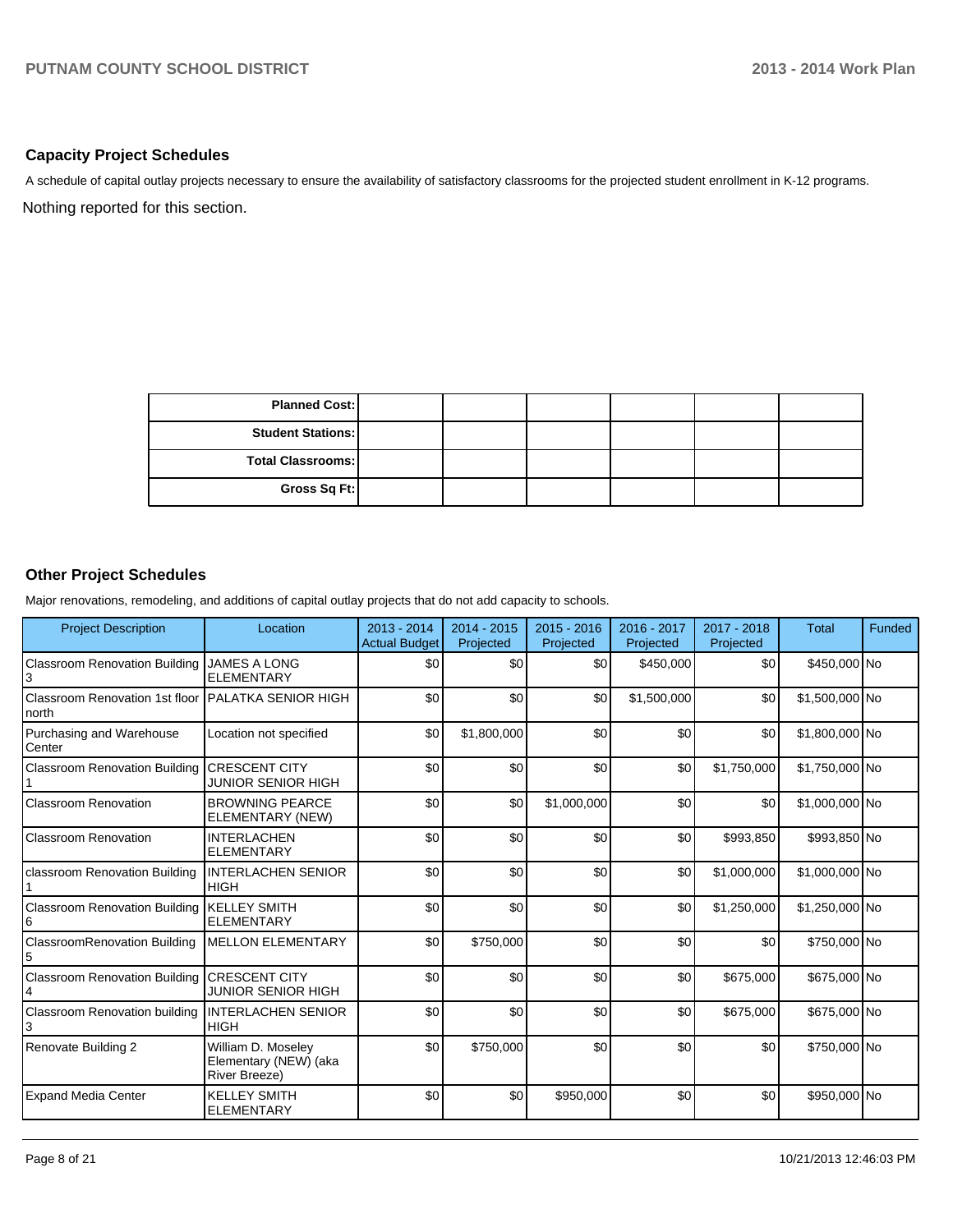#### **Capacity Project Schedules**

A schedule of capital outlay projects necessary to ensure the availability of satisfactory classrooms for the projected student enrollment in K-12 programs.

Nothing reported for this section.

| <b>Planned Cost:</b>     |  |  |  |
|--------------------------|--|--|--|
| <b>Student Stations:</b> |  |  |  |
| <b>Total Classrooms:</b> |  |  |  |
| Gross Sq Ft:             |  |  |  |

## **Other Project Schedules**

Major renovations, remodeling, and additions of capital outlay projects that do not add capacity to schools.

| <b>Project Description</b>               | Location                                                            | 2013 - 2014<br><b>Actual Budget</b> | $2014 - 2015$<br>Projected | $2015 - 2016$<br>Projected | 2016 - 2017<br>Projected | 2017 - 2018<br>Projected | <b>Total</b>   | Funded |
|------------------------------------------|---------------------------------------------------------------------|-------------------------------------|----------------------------|----------------------------|--------------------------|--------------------------|----------------|--------|
| <b>Classroom Renovation Building</b>     | <b>JAMES A LONG</b><br><b>ELEMENTARY</b>                            | \$0                                 | \$0                        | \$0                        | \$450,000                | \$0                      | \$450,000 No   |        |
| Classroom Renovation 1st floor<br>north  | <b>I</b> PALATKA SENIOR HIGH                                        | \$0                                 | \$0                        | \$0                        | \$1,500,000              | \$0                      | \$1,500,000 No |        |
| Purchasing and Warehouse<br>Center       | Location not specified                                              | \$0                                 | \$1,800,000                | \$0                        | \$0                      | \$0                      | \$1,800,000 No |        |
| <b>Classroom Renovation Building</b>     | <b>CRESCENT CITY</b><br><b>JUNIOR SENIOR HIGH</b>                   | \$0                                 | \$0                        | \$0                        | \$0                      | \$1,750,000              | \$1,750,000 No |        |
| <b>Classroom Renovation</b>              | <b>BROWNING PEARCE</b><br>ELEMENTARY (NEW)                          | \$0                                 | \$0                        | \$1,000,000                | \$0                      | \$0                      | \$1,000,000 No |        |
| Classroom Renovation                     | <b>INTERLACHEN</b><br><b>ELEMENTARY</b>                             | \$0                                 | \$0                        | \$0                        | \$0                      | \$993,850                | \$993,850 No   |        |
| classroom Renovation Building            | <b>INTERLACHEN SENIOR</b><br><b>HIGH</b>                            | \$0                                 | \$0                        | \$0                        | \$0                      | \$1,000,000              | \$1,000,000 No |        |
| <b>Classroom Renovation Building</b>     | <b>KELLEY SMITH</b><br><b>ELEMENTARY</b>                            | \$0                                 | \$0                        | \$0                        | \$0                      | \$1,250,000              | \$1,250,000 No |        |
| <b>ClassroomRenovation Building</b><br>5 | <b>MELLON ELEMENTARY</b>                                            | \$0                                 | \$750,000                  | \$0                        | \$0                      | \$0                      | \$750,000 No   |        |
| <b>Classroom Renovation Building</b>     | <b>CRESCENT CITY</b><br><b>JUNIOR SENIOR HIGH</b>                   | \$0                                 | \$0                        | \$0                        | \$0                      | \$675,000                | \$675,000 No   |        |
| Classroom Renovation building            | <b>INTERLACHEN SENIOR</b><br><b>HIGH</b>                            | \$0                                 | \$0                        | \$0                        | \$0                      | \$675,000                | \$675,000 No   |        |
| Renovate Building 2                      | William D. Moseley<br>Elementary (NEW) (aka<br><b>River Breeze)</b> | \$0                                 | \$750,000                  | \$0                        | \$0                      | \$0                      | \$750,000 No   |        |
| <b>Expand Media Center</b>               | <b>KELLEY SMITH</b><br><b>ELEMENTARY</b>                            | \$0                                 | \$0                        | \$950,000                  | \$0                      | \$0                      | \$950,000 No   |        |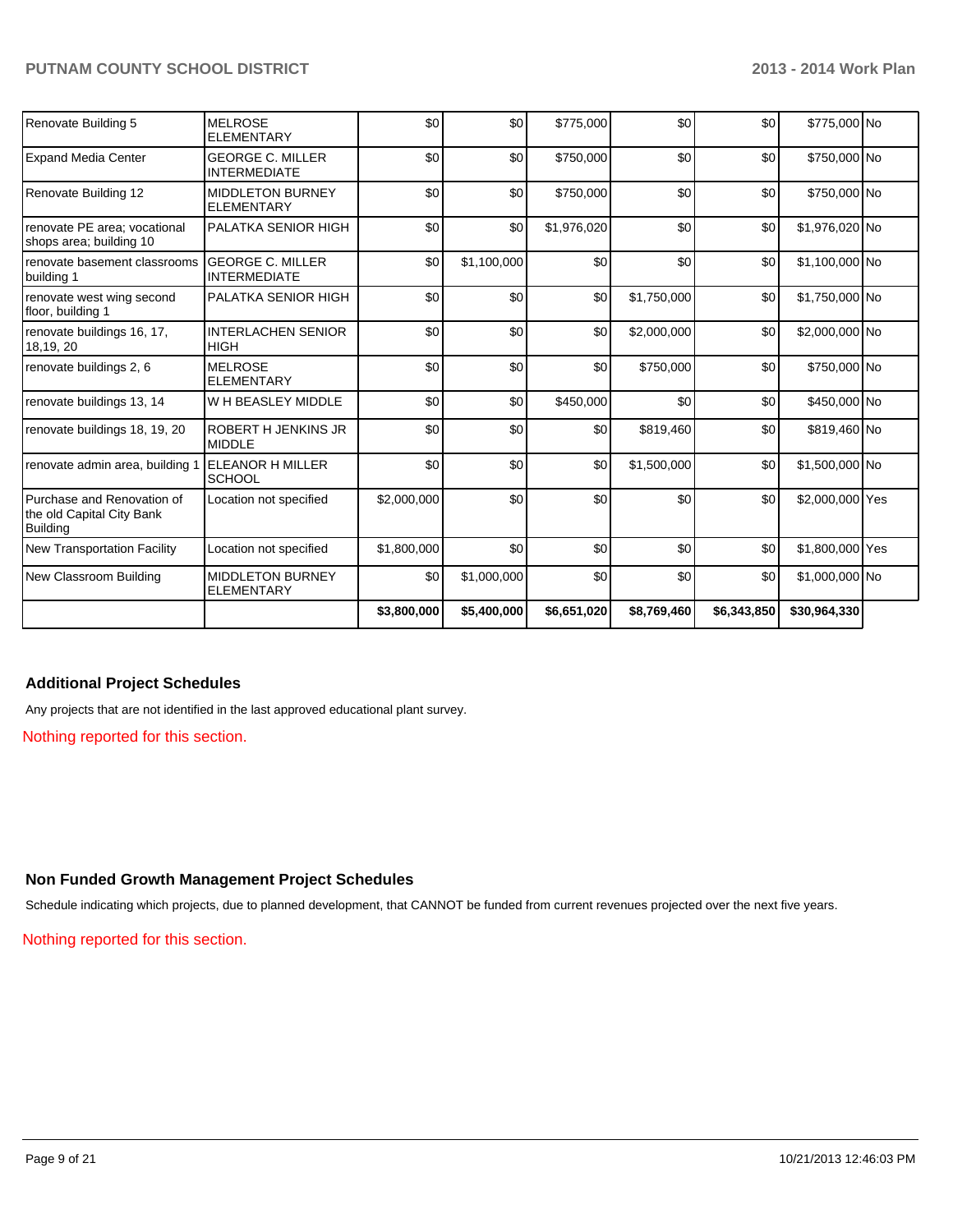| Renovate Building 5                                                 | <b>MELROSE</b><br><b>ELEMENTARY</b>            | \$0         | \$0         | \$775,000   | \$0         | \$0         | \$775,000 No    |  |
|---------------------------------------------------------------------|------------------------------------------------|-------------|-------------|-------------|-------------|-------------|-----------------|--|
| <b>Expand Media Center</b>                                          | <b>GEORGE C. MILLER</b><br><b>INTERMEDIATE</b> | \$0         | \$0         | \$750,000   | \$0         | \$0         | \$750,000 No    |  |
| Renovate Building 12                                                | <b>MIDDLETON BURNEY</b><br><b>ELEMENTARY</b>   | \$0         | \$0         | \$750,000   | \$0         | \$0         | \$750,000 No    |  |
| renovate PE area: vocational<br>shops area; building 10             | <b>PALATKA SENIOR HIGH</b>                     | \$0         | \$0         | \$1,976,020 | \$0         | \$0         | \$1,976,020 No  |  |
| renovate basement classrooms<br>building 1                          | <b>GEORGE C. MILLER</b><br><b>INTERMEDIATE</b> | \$0         | \$1,100,000 | \$0         | \$0         | \$0         | \$1,100,000 No  |  |
| renovate west wing second<br>floor, building 1                      | PALATKA SENIOR HIGH                            | \$0         | \$0         | \$0         | \$1,750,000 | \$0         | \$1,750,000 No  |  |
| renovate buildings 16, 17,<br>18,19, 20                             | <b>INTERLACHEN SENIOR</b><br><b>HIGH</b>       | \$0         | \$0         | \$0         | \$2,000,000 | \$0         | \$2,000,000 No  |  |
| renovate buildings 2, 6                                             | <b>MELROSE</b><br><b>ELEMENTARY</b>            | \$0         | 30          | \$0         | \$750,000   | \$0         | \$750,000 No    |  |
| renovate buildings 13, 14                                           | W H BEASLEY MIDDLE                             | \$0         | 30          | \$450,000   | \$0         | \$0         | \$450,000 No    |  |
| renovate buildings 18, 19, 20                                       | <b>ROBERT H JENKINS JR</b><br><b>MIDDLE</b>    | \$0         | \$0         | \$0         | \$819,460   | \$0         | \$819,460 No    |  |
| renovate admin area, building 1                                     | <b>ELEANOR H MILLER</b><br><b>SCHOOL</b>       | \$0         | \$0         | \$0         | \$1,500,000 | \$0         | \$1,500,000 No  |  |
| Purchase and Renovation of<br>the old Capital City Bank<br>Building | Location not specified                         | \$2,000,000 | \$0         | \$0         | \$0         | \$0         | \$2,000,000 Yes |  |
| <b>New Transportation Facility</b>                                  | Location not specified                         | \$1,800,000 | \$0         | \$0         | \$0         | \$0         | \$1,800,000 Yes |  |
| New Classroom Building                                              | <b>MIDDLETON BURNEY</b><br><b>ELEMENTARY</b>   | \$0         | \$1,000,000 | \$0         | \$0         | \$0         | \$1,000,000 No  |  |
|                                                                     |                                                | \$3,800,000 | \$5,400,000 | \$6,651,020 | \$8,769,460 | \$6,343,850 | \$30,964,330    |  |

## **Additional Project Schedules**

Any projects that are not identified in the last approved educational plant survey.

Nothing reported for this section.

#### **Non Funded Growth Management Project Schedules**

Schedule indicating which projects, due to planned development, that CANNOT be funded from current revenues projected over the next five years.

Nothing reported for this section.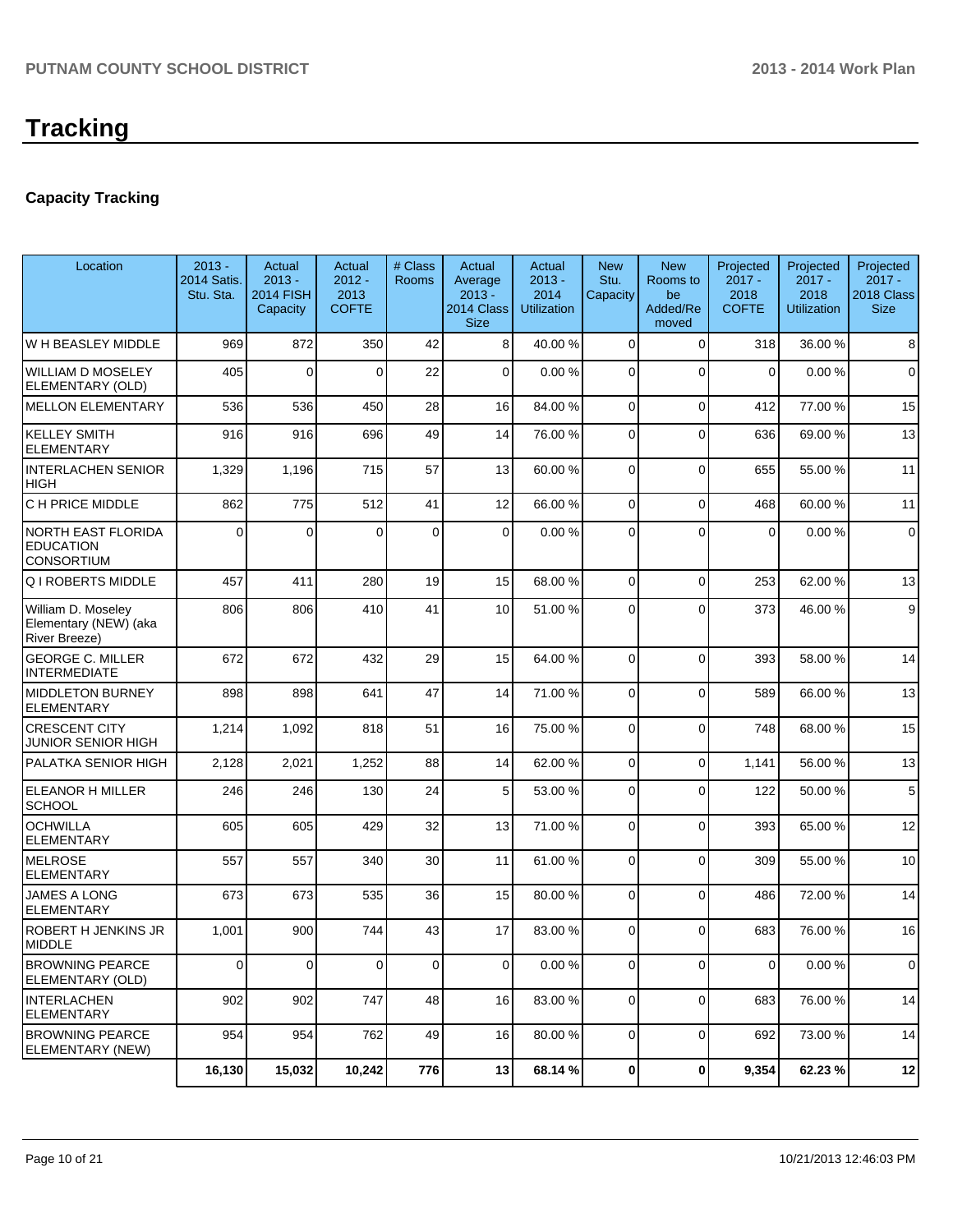# **Capacity Tracking**

| Location                                                           | $2013 -$<br><b>2014 Satis.</b><br>Stu. Sta. | Actual<br>$2013 -$<br><b>2014 FISH</b><br>Capacity | Actual<br>$2012 -$<br>2013<br><b>COFTE</b> | # Class<br><b>Rooms</b> | Actual<br>Average<br>$2013 -$<br>2014 Class<br><b>Size</b> | Actual<br>$2013 -$<br>2014<br><b>Utilization</b> | <b>New</b><br>Stu.<br>Capacity | <b>New</b><br>Rooms to<br>be<br>Added/Re<br>moved | Projected<br>$2017 -$<br>2018<br><b>COFTE</b> | Projected<br>$2017 -$<br>2018<br><b>Utilization</b> | Projected<br>$2017 -$<br>2018 Class<br><b>Size</b> |
|--------------------------------------------------------------------|---------------------------------------------|----------------------------------------------------|--------------------------------------------|-------------------------|------------------------------------------------------------|--------------------------------------------------|--------------------------------|---------------------------------------------------|-----------------------------------------------|-----------------------------------------------------|----------------------------------------------------|
| W H BEASLEY MIDDLE                                                 | 969                                         | 872                                                | 350                                        | 42                      | 8                                                          | 40.00 %                                          | $\Omega$                       | $\Omega$                                          | 318                                           | 36.00 %                                             | 8                                                  |
| <b>WILLIAM D MOSELEY</b><br>ELEMENTARY (OLD)                       | 405                                         | $\Omega$                                           | $\Omega$                                   | 22                      | $\overline{0}$                                             | 0.00%                                            | $\Omega$                       | $\Omega$                                          | $\mathbf 0$                                   | 0.00%                                               | $\mathbf 0$                                        |
| <b>IMELLON ELEMENTARY</b>                                          | 536                                         | 536                                                | 450                                        | 28                      | 16                                                         | 84.00 %                                          | $\Omega$                       | $\Omega$                                          | 412                                           | 77.00 %                                             | 15                                                 |
| <b>KELLEY SMITH</b><br><b>ELEMENTARY</b>                           | 916                                         | 916                                                | 696                                        | 49                      | 14                                                         | 76.00 %                                          | $\Omega$                       | $\Omega$                                          | 636                                           | 69.00 %                                             | 13                                                 |
| <b>INTERLACHEN SENIOR</b><br><b>HIGH</b>                           | 1,329                                       | 1,196                                              | 715                                        | 57                      | 13                                                         | 60.00 %                                          | $\Omega$                       | $\Omega$                                          | 655                                           | 55.00 %                                             | 11                                                 |
| C H PRICE MIDDLE                                                   | 862                                         | 775                                                | 512                                        | 41                      | 12                                                         | 66.00 %                                          | $\overline{0}$                 | $\Omega$                                          | 468                                           | 60.00%                                              | 11                                                 |
| <b>NORTH EAST FLORIDA</b><br><b>EDUCATION</b><br><b>CONSORTIUM</b> | 0                                           | $\Omega$                                           | $\Omega$                                   | 0                       | 0                                                          | 0.00 %                                           | $\Omega$                       | $\Omega$                                          | $\mathbf 0$                                   | 0.00%                                               | $\mathbf 0$                                        |
| <b>Q I ROBERTS MIDDLE</b>                                          | 457                                         | 411                                                | 280                                        | 19                      | 15                                                         | 68.00 %                                          | $\Omega$                       | $\Omega$                                          | 253                                           | 62.00%                                              | 13                                                 |
| William D. Moseley<br>Elementary (NEW) (aka<br>River Breeze)       | 806                                         | 806                                                | 410                                        | 41                      | 10                                                         | 51.00 %                                          | $\Omega$                       | $\Omega$                                          | 373                                           | 46.00%                                              | 9                                                  |
| <b>GEORGE C. MILLER</b><br><b>INTERMEDIATE</b>                     | 672                                         | 672                                                | 432                                        | 29                      | 15                                                         | 64.00 %                                          | $\Omega$                       | $\Omega$                                          | 393                                           | 58.00 %                                             | 14                                                 |
| <b>MIDDLETON BURNEY</b><br>ELEMENTARY                              | 898                                         | 898                                                | 641                                        | 47                      | 14                                                         | 71.00 %                                          | $\Omega$                       | $\Omega$                                          | 589                                           | 66.00 %                                             | 13                                                 |
| <b>CRESCENT CITY</b><br><b>JUNIOR SENIOR HIGH</b>                  | 1,214                                       | 1,092                                              | 818                                        | 51                      | 16                                                         | 75.00 %                                          | $\Omega$                       | $\Omega$                                          | 748                                           | 68.00 %                                             | 15                                                 |
| PALATKA SENIOR HIGH                                                | 2,128                                       | 2,021                                              | 1,252                                      | 88                      | 14                                                         | 62.00 %                                          | $\Omega$                       | $\Omega$                                          | 1,141                                         | 56.00 %                                             | 13                                                 |
| <b>ELEANOR H MILLER</b><br>SCHOOL                                  | 246                                         | 246                                                | 130                                        | 24                      | 5                                                          | 53.00 %                                          | $\Omega$                       | $\Omega$                                          | 122                                           | 50.00 %                                             | 5                                                  |
| <b>OCHWILLA</b><br><b>ELEMENTARY</b>                               | 605                                         | 605                                                | 429                                        | 32                      | 13                                                         | 71.00 %                                          | $\Omega$                       | $\Omega$                                          | 393                                           | 65.00 %                                             | 12                                                 |
| MELROSE<br><b>IELEMENTARY</b>                                      | 557                                         | 557                                                | 340                                        | 30                      | 11                                                         | 61.00 %                                          | $\Omega$                       | $\Omega$                                          | 309                                           | 55.00 %                                             | 10                                                 |
| <b>JAMES A LONG</b><br>ELEMENTARY                                  | 673                                         | 673                                                | 535                                        | 36                      | 15                                                         | 80.00 %                                          | $\Omega$                       | $\Omega$                                          | 486                                           | 72.00 %                                             | 14                                                 |
| <b>ROBERT H JENKINS JR</b><br><b>IMIDDLE</b>                       | 1,001                                       | 900                                                | 744                                        | 43                      | 17                                                         | 83.00 %                                          | $\Omega$                       | $\Omega$                                          | 683                                           | 76.00%                                              | 16                                                 |
| <b>BROWNING PEARCE</b><br>ELEMENTARY (OLD)                         | 0                                           | 0                                                  | $\overline{0}$                             | 0                       | 0                                                          | 0.00 %                                           | 0                              | 0                                                 | $\mathbf 0$                                   | 0.00%                                               | 0                                                  |
| INTERLACHEN<br><b>ELEMENTARY</b>                                   | 902                                         | 902                                                | 747                                        | 48                      | 16                                                         | 83.00 %                                          | $\overline{0}$                 | $\overline{0}$                                    | 683                                           | 76.00 %                                             | 14                                                 |
| <b>BROWNING PEARCE</b><br>ELEMENTARY (NEW)                         | 954                                         | 954                                                | 762                                        | 49                      | 16                                                         | 80.00 %                                          | $\overline{0}$                 | $\overline{0}$                                    | 692                                           | 73.00 %                                             | 14                                                 |
|                                                                    | 16,130                                      | 15,032                                             | 10,242                                     | 776                     | 13                                                         | 68.14 %                                          | $\mathbf{0}$                   | $\mathbf{0}$                                      | 9,354                                         | 62.23%                                              | 12                                                 |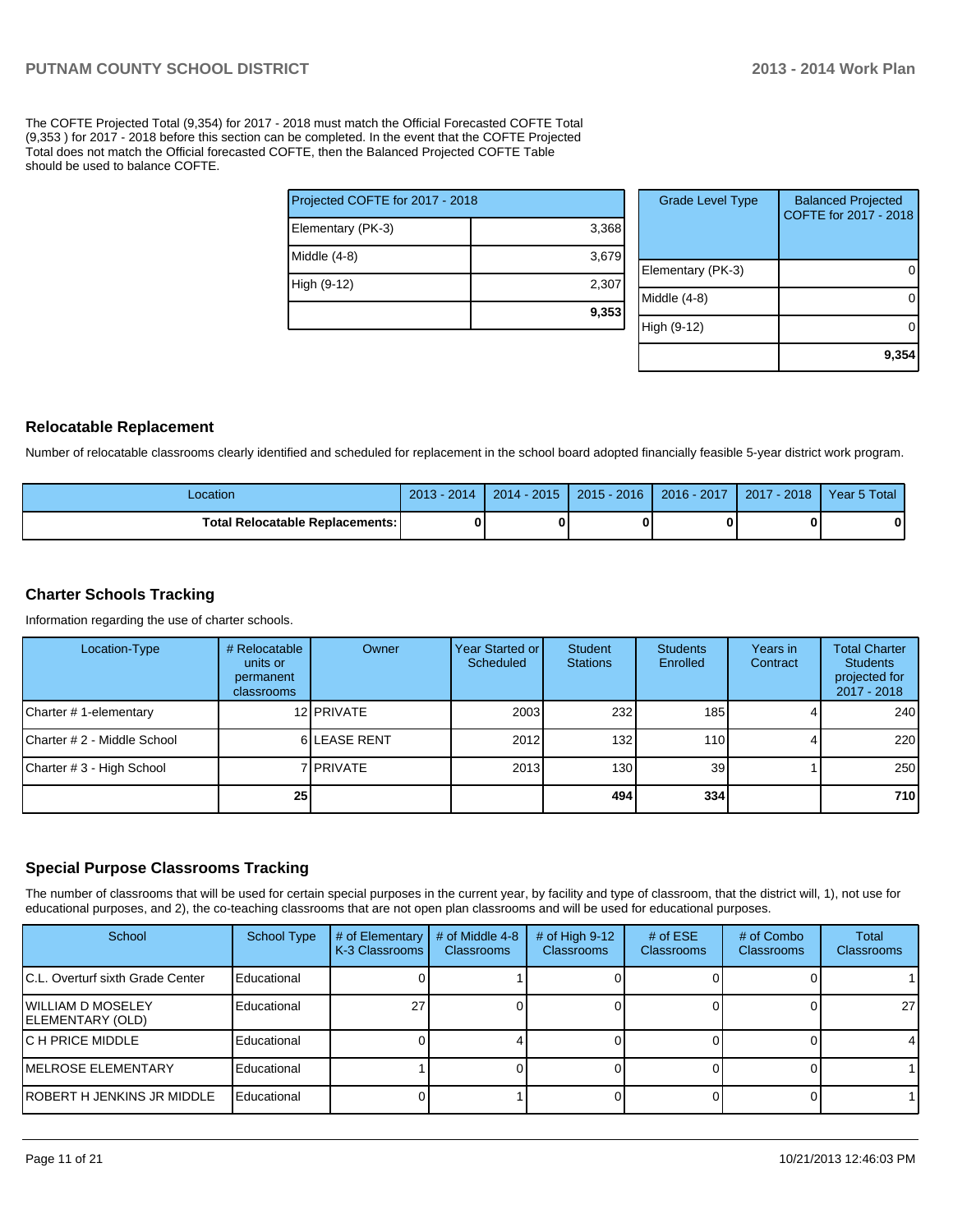The COFTE Projected Total (9,354) for 2017 - 2018 must match the Official Forecasted COFTE Total (9,353 ) for 2017 - 2018 before this section can be completed. In the event that the COFTE Projected Total does not match the Official forecasted COFTE, then the Balanced Projected COFTE Table should be used to balance COFTE.

| Projected COFTE for 2017 - 2018 |       |  |  |  |  |
|---------------------------------|-------|--|--|--|--|
| Elementary (PK-3)               | 3,368 |  |  |  |  |
| Middle (4-8)                    | 3,679 |  |  |  |  |
| High (9-12)                     | 2,307 |  |  |  |  |
|                                 | 9,353 |  |  |  |  |

| <b>Grade Level Type</b> | <b>Balanced Projected</b><br>COFTE for 2017 - 2018 |
|-------------------------|----------------------------------------------------|
| Elementary (PK-3)       |                                                    |
| Middle (4-8)            |                                                    |
| High (9-12)             |                                                    |
|                         | 9,35                                               |

#### **Relocatable Replacement**

Number of relocatable classrooms clearly identified and scheduled for replacement in the school board adopted financially feasible 5-year district work program.

| Location                               | $2013 - 2014$ | $2014 - 2015$ | $2015 - 2016$ | $2016 - 2017$ | 2017 - 2018 | Year 5 Total |
|----------------------------------------|---------------|---------------|---------------|---------------|-------------|--------------|
| <b>Total Relocatable Replacements:</b> | ŋ             |               |               |               |             |              |

#### **Charter Schools Tracking**

Information regarding the use of charter schools.

| Location-Type               | # Relocatable<br>units or<br>permanent<br>classrooms | Owner              | Year Started or I<br>Scheduled | Student<br><b>Stations</b> | <b>Students</b><br>Enrolled | Years in<br>Contract | <b>Total Charter</b><br><b>Students</b><br>projected for<br>2017 - 2018 |
|-----------------------------|------------------------------------------------------|--------------------|--------------------------------|----------------------------|-----------------------------|----------------------|-------------------------------------------------------------------------|
| Charter #1-elementary       |                                                      | 12 <b>IPRIVATE</b> | 2003                           | 232                        | 185 <sub>1</sub>            |                      | 240                                                                     |
| Charter # 2 - Middle School |                                                      | 6 LEASE RENT       | 2012                           | 132 <sub>l</sub>           | 110                         |                      | 220                                                                     |
| Charter # 3 - High School   |                                                      | 7 I PRIVATE        | 2013                           | 130 <sup>1</sup>           | 39                          |                      | 250                                                                     |
|                             | 25 <sub>1</sub>                                      |                    |                                | 494 l                      | 334                         |                      | 710 l                                                                   |

#### **Special Purpose Classrooms Tracking**

The number of classrooms that will be used for certain special purposes in the current year, by facility and type of classroom, that the district will, 1), not use for educational purposes, and 2), the co-teaching classrooms that are not open plan classrooms and will be used for educational purposes.

| School                                         | <b>School Type</b> | # of Elementary<br>K-3 Classrooms | # of Middle 4-8<br><b>Classrooms</b> | # of High $9-12$<br>Classrooms | # of $ESE$<br><b>Classrooms</b> | # of Combo<br><b>Classrooms</b> | Total<br><b>Classrooms</b> |
|------------------------------------------------|--------------------|-----------------------------------|--------------------------------------|--------------------------------|---------------------------------|---------------------------------|----------------------------|
| IC.L. Overturf sixth Grade Center              | Educational        |                                   |                                      |                                |                                 |                                 |                            |
| IWILLIAM D MOSELEY<br><b>IELEMENTARY (OLD)</b> | Educational        |                                   |                                      |                                |                                 |                                 | 27                         |
| IC H PRICE MIDDLE                              | Educational        |                                   |                                      |                                |                                 |                                 | 4                          |
| <b>IMELROSE ELEMENTARY</b>                     | Educational        |                                   |                                      |                                |                                 |                                 |                            |
| IROBERT H JENKINS JR MIDDLE                    | Educational        |                                   |                                      |                                |                                 |                                 |                            |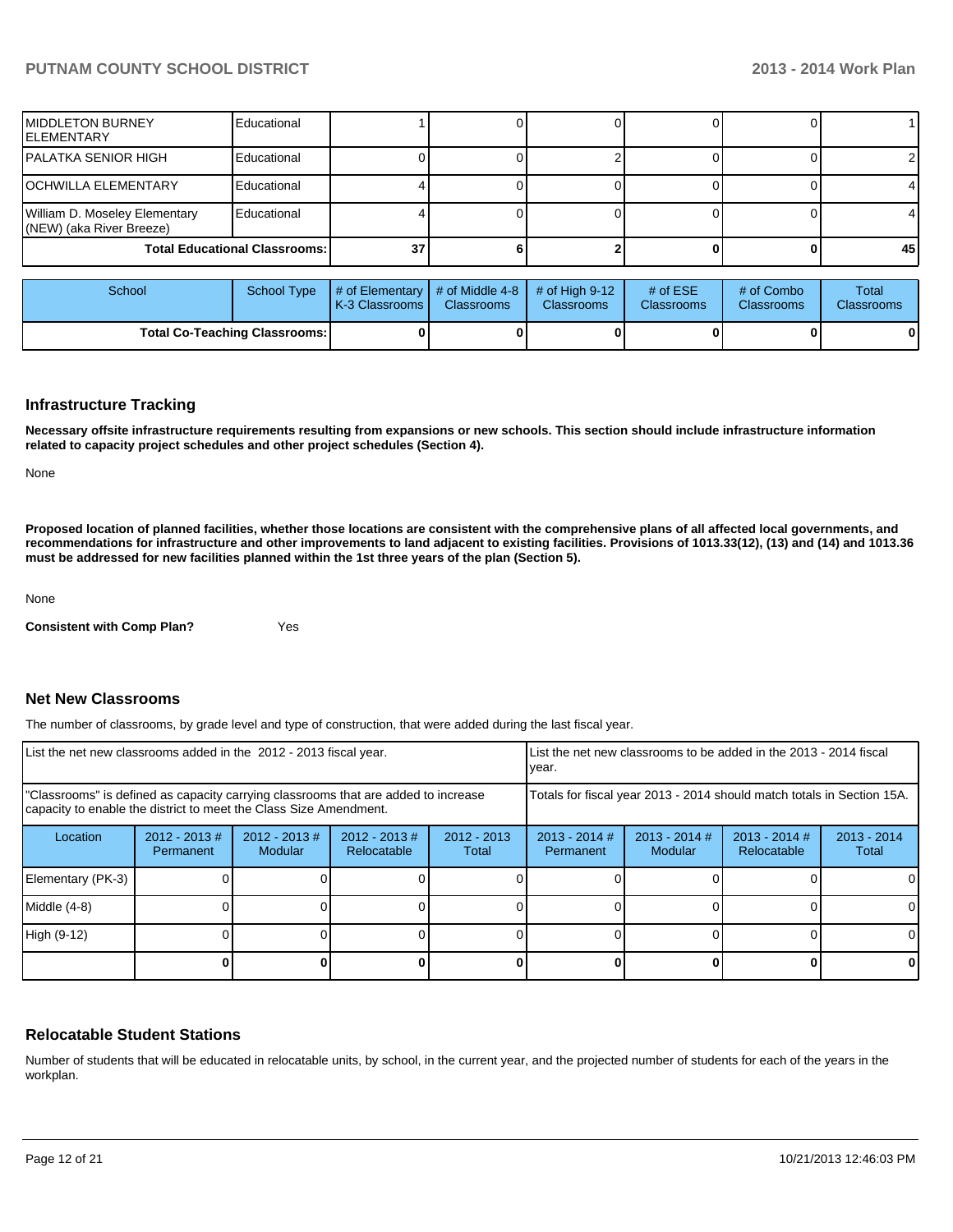| <b>MIDDLETON BURNEY</b><br>IELEMENTARY                    | Educational                          |    |  |  |      |
|-----------------------------------------------------------|--------------------------------------|----|--|--|------|
| IPALATKA SENIOR HIGH                                      | Educational                          |    |  |  |      |
| IOCHWILLA ELEMENTARY                                      | Educational                          |    |  |  |      |
| William D. Moseley Elementary<br>(NEW) (aka River Breeze) | Educational                          |    |  |  |      |
|                                                           | <b>Total Educational Classrooms:</b> | 37 |  |  | 45 I |

| School | School Type                          | # of Elementary  # of Middle 4-8  # of High 9-12  <br><b>IK-3 Classrooms I</b> | <b>Classrooms</b> | <b>Classrooms</b> | $#$ of ESE<br><b>Classrooms</b> | # of Combo<br><b>Classrooms</b> | Total<br><b>Classrooms</b> |
|--------|--------------------------------------|--------------------------------------------------------------------------------|-------------------|-------------------|---------------------------------|---------------------------------|----------------------------|
|        | <b>Total Co-Teaching Classrooms:</b> |                                                                                |                   |                   |                                 | 0                               | 0                          |

#### **Infrastructure Tracking**

**Necessary offsite infrastructure requirements resulting from expansions or new schools. This section should include infrastructure information related to capacity project schedules and other project schedules (Section 4).**

None

**Proposed location of planned facilities, whether those locations are consistent with the comprehensive plans of all affected local governments, and recommendations for infrastructure and other improvements to land adjacent to existing facilities. Provisions of 1013.33(12), (13) and (14) and 1013.36 must be addressed for new facilities planned within the 1st three years of the plan (Section 5).**

None

**Consistent with Comp Plan?** Yes

#### **Net New Classrooms**

The number of classrooms, by grade level and type of construction, that were added during the last fiscal year.

| List the net new classrooms added in the 2012 - 2013 fiscal year.                                                                                       |                               |                            |                                 | List the net new classrooms to be added in the 2013 - 2014 fiscal<br>Ivear. |                              |                            |                                |                        |
|---------------------------------------------------------------------------------------------------------------------------------------------------------|-------------------------------|----------------------------|---------------------------------|-----------------------------------------------------------------------------|------------------------------|----------------------------|--------------------------------|------------------------|
| "Classrooms" is defined as capacity carrying classrooms that are added to increase<br>capacity to enable the district to meet the Class Size Amendment. |                               |                            |                                 | Totals for fiscal year 2013 - 2014 should match totals in Section 15A.      |                              |                            |                                |                        |
| Location                                                                                                                                                | $2012 - 2013 \#$<br>Permanent | $2012 - 2013$ #<br>Modular | $2012 - 2013 \#$<br>Relocatable | $2012 - 2013$<br>Total                                                      | $2013 - 2014$ #<br>Permanent | $2013 - 2014$ #<br>Modular | $2013 - 2014$ #<br>Relocatable | $2013 - 2014$<br>Total |
| Elementary (PK-3)                                                                                                                                       |                               |                            |                                 |                                                                             |                              |                            |                                | 0                      |
| Middle (4-8)                                                                                                                                            |                               |                            |                                 |                                                                             |                              |                            |                                | 0                      |
| High (9-12)                                                                                                                                             |                               |                            |                                 |                                                                             |                              |                            |                                | $\Omega$               |
|                                                                                                                                                         |                               |                            |                                 |                                                                             |                              |                            |                                | 0                      |

#### **Relocatable Student Stations**

Number of students that will be educated in relocatable units, by school, in the current year, and the projected number of students for each of the years in the workplan.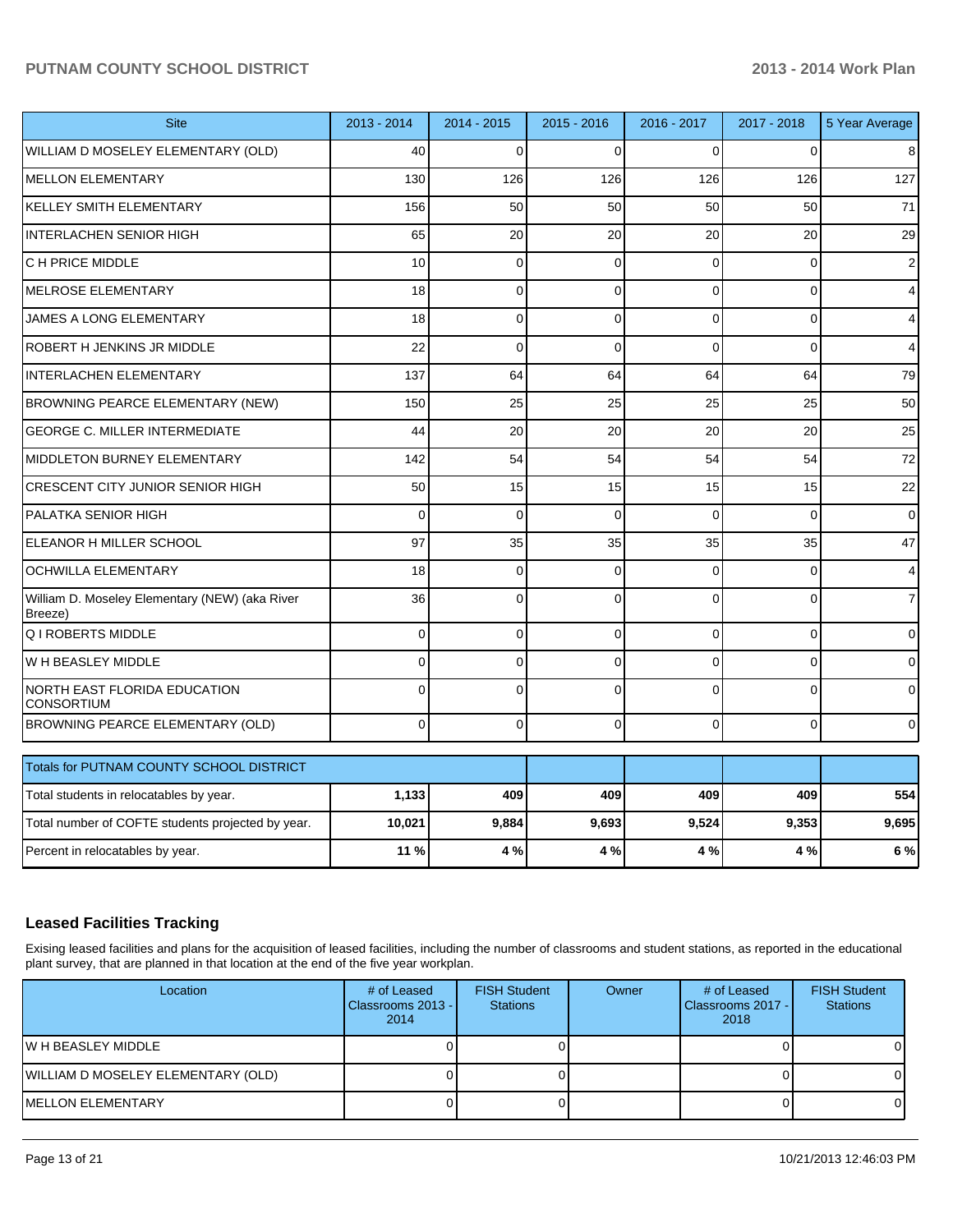|          | 2014 - 2015                            | $2015 - 2016$ | 2016 - 2017  | 2017 - 2018  | 5 Year Average |
|----------|----------------------------------------|---------------|--------------|--------------|----------------|
| 40       | $\Omega$                               | $\Omega$      | $\Omega$     |              | 8              |
| 130      | 126                                    | 126           | 126          | 126          | 127            |
| 156      | 50                                     | 50            | 50           | 50           | 71             |
| 65       | 20                                     | 20            | 20           | 20           | 29             |
| 10       | $\mathbf 0$                            | $\mathbf 0$   | $\Omega$     | 0            | 2              |
| 18       | $\Omega$                               | $\Omega$      | $\Omega$     | $\Omega$     | 4              |
| 18       | $\Omega$                               | $\mathbf 0$   | $\Omega$     | 0            | 4              |
| 22       | $\Omega$                               | $\Omega$      | $\Omega$     | $\Omega$     | 4              |
| 137      | 64                                     | 64            | 64           | 64           | 79             |
| 150      | 25                                     | 25            | 25           | 25           | 50             |
| 44       | 20                                     | 20            | 20           | 20           | 25             |
| 142      | 54                                     | 54            | 54           | 54           | 72             |
| 50       | 15                                     | 15            | 15           | 15           | 22             |
| $\Omega$ | $\Omega$                               | $\Omega$      | $\Omega$     | $\Omega$     | $\Omega$       |
| 97       | 35                                     | 35            | 35           | 35           | 47             |
| 18       | $\Omega$                               | $\Omega$      | $\Omega$     | $\Omega$     | 4              |
| 36       | $\Omega$                               | $\Omega$      | $\Omega$     | $\Omega$     | 7              |
| $\Omega$ | $\Omega$                               | $\Omega$      | $\Omega$     | $\Omega$     | 0              |
| $\Omega$ | $\Omega$                               | $\Omega$      | $\Omega$     | $\Omega$     | 0              |
| 0        | $\Omega$                               | $\Omega$      | $\Omega$     | $\Omega$     | 0              |
| $\Omega$ | $\mathbf 0$                            | $\Omega$      | $\Omega$     | 0            | 0              |
|          |                                        |               |              |              |                |
|          | 409                                    | 409           | 409          | 409          | 554            |
|          |                                        |               |              |              | 9,695          |
|          | 4 %                                    |               |              |              | 6 %            |
|          | 2013 - 2014<br>1,133<br>10,021<br>11 % | 9,884         | 9,693<br>4 % | 9,524<br>4 % | 9,353<br>4 %   |

# **Leased Facilities Tracking**

Exising leased facilities and plans for the acquisition of leased facilities, including the number of classrooms and student stations, as reported in the educational plant survey, that are planned in that location at the end of the five year workplan.

| Location                           | # of Leased<br>Classrooms 2013 -<br>2014 | <b>FISH Student</b><br><b>Stations</b> | Owner | # of Leased<br><b>I</b> Classrooms 2017 - I<br>2018 | <b>FISH Student</b><br><b>Stations</b> |
|------------------------------------|------------------------------------------|----------------------------------------|-------|-----------------------------------------------------|----------------------------------------|
| IW H BEASLEY MIDDLE                |                                          |                                        |       |                                                     |                                        |
| WILLIAM D MOSELEY ELEMENTARY (OLD) |                                          |                                        |       |                                                     |                                        |
| IMELLON ELEMENTARY                 |                                          |                                        |       |                                                     |                                        |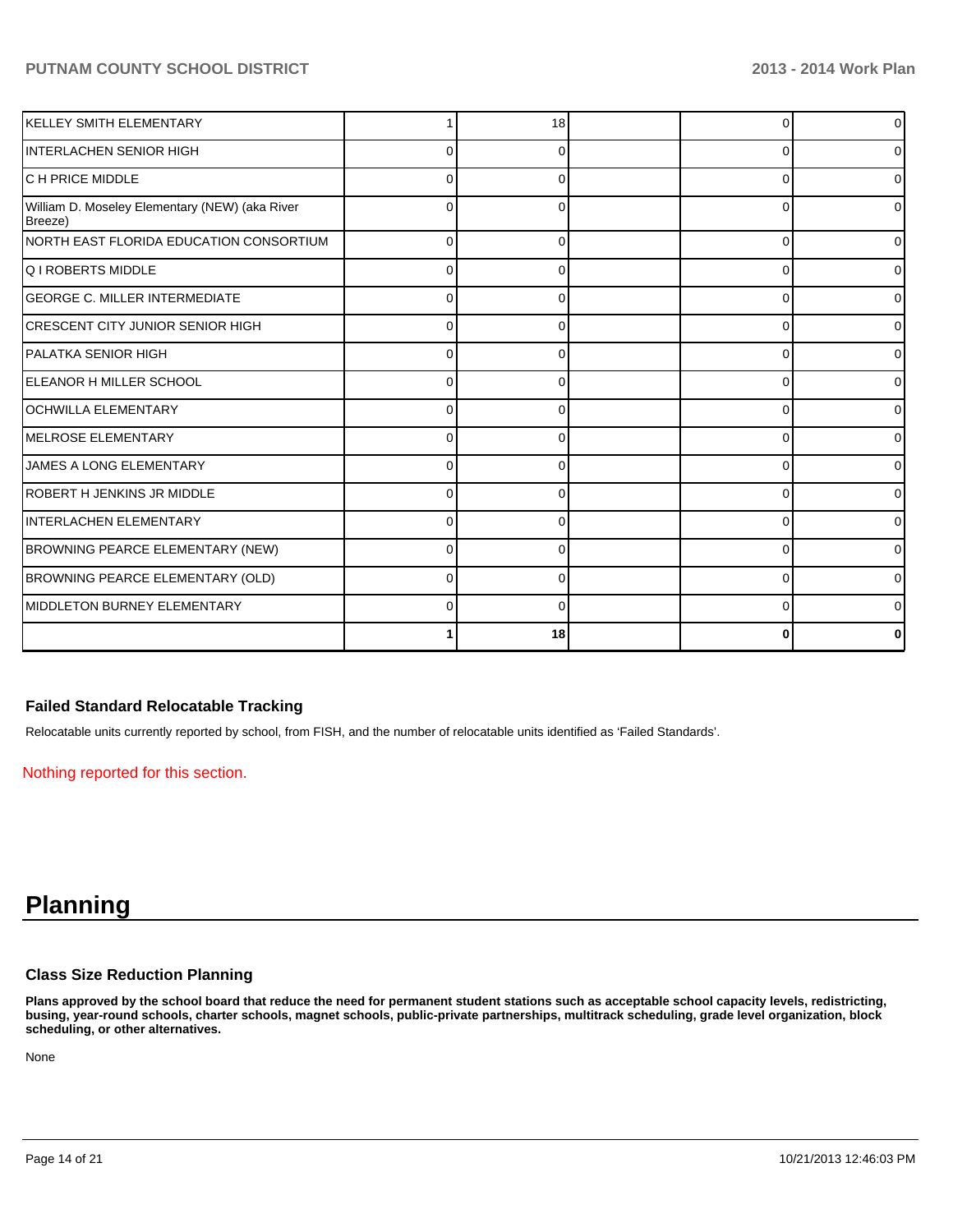| KELLEY SMITH ELEMENTARY                                   |          | 18 |   | $\overline{0}$ |
|-----------------------------------------------------------|----------|----|---|----------------|
| INTERLACHEN SENIOR HIGH                                   | ŋ        |    | ∩ | 01             |
| IC H PRICE MIDDLE                                         | O        |    | C | $\overline{0}$ |
| William D. Moseley Elementary (NEW) (aka River<br>Breeze) | O        |    | C | 01             |
| INORTH EAST FLORIDA EDUCATION CONSORTIUM                  | 0        |    | ŋ | 01             |
| lQ I ROBERTS MIDDLE                                       | 0        |    | C | 01             |
| <b>GEORGE C. MILLER INTERMEDIATE</b>                      |          |    | ŋ | 01             |
| CRESCENT CITY JUNIOR SENIOR HIGH                          |          |    |   | 01             |
| IPALATKA SENIOR HIGH                                      | 0        |    | C | $\overline{0}$ |
| <b>IELEANOR H MILLER SCHOOL</b>                           | O        |    |   | 01             |
| OCHWILLA ELEMENTARY                                       | 0        |    | C | 01             |
| <b>IMELROSE ELEMENTARY</b>                                | U        |    |   | 01             |
| JAMES A LONG ELEMENTARY                                   | 0        |    |   | οI             |
| ROBERT H JENKINS JR MIDDLE                                | $\Omega$ |    | C | 01             |
| IINTERLACHEN ELEMENTARY                                   | $\Omega$ | ∩  | ∩ | 01             |
| <b>BROWNING PEARCE ELEMENTARY (NEW)</b>                   | $\Omega$ |    | C | 0              |
| BROWNING PEARCE ELEMENTARY (OLD)                          | 0        | ŋ  | ∩ | ٥I             |
| MIDDLETON BURNEY ELEMENTARY                               | ŋ        |    | C | 01             |
|                                                           |          | 18 |   | 0              |

## **Failed Standard Relocatable Tracking**

Relocatable units currently reported by school, from FISH, and the number of relocatable units identified as 'Failed Standards'.

Nothing reported for this section.

# **Planning**

### **Class Size Reduction Planning**

**Plans approved by the school board that reduce the need for permanent student stations such as acceptable school capacity levels, redistricting, busing, year-round schools, charter schools, magnet schools, public-private partnerships, multitrack scheduling, grade level organization, block scheduling, or other alternatives.**

None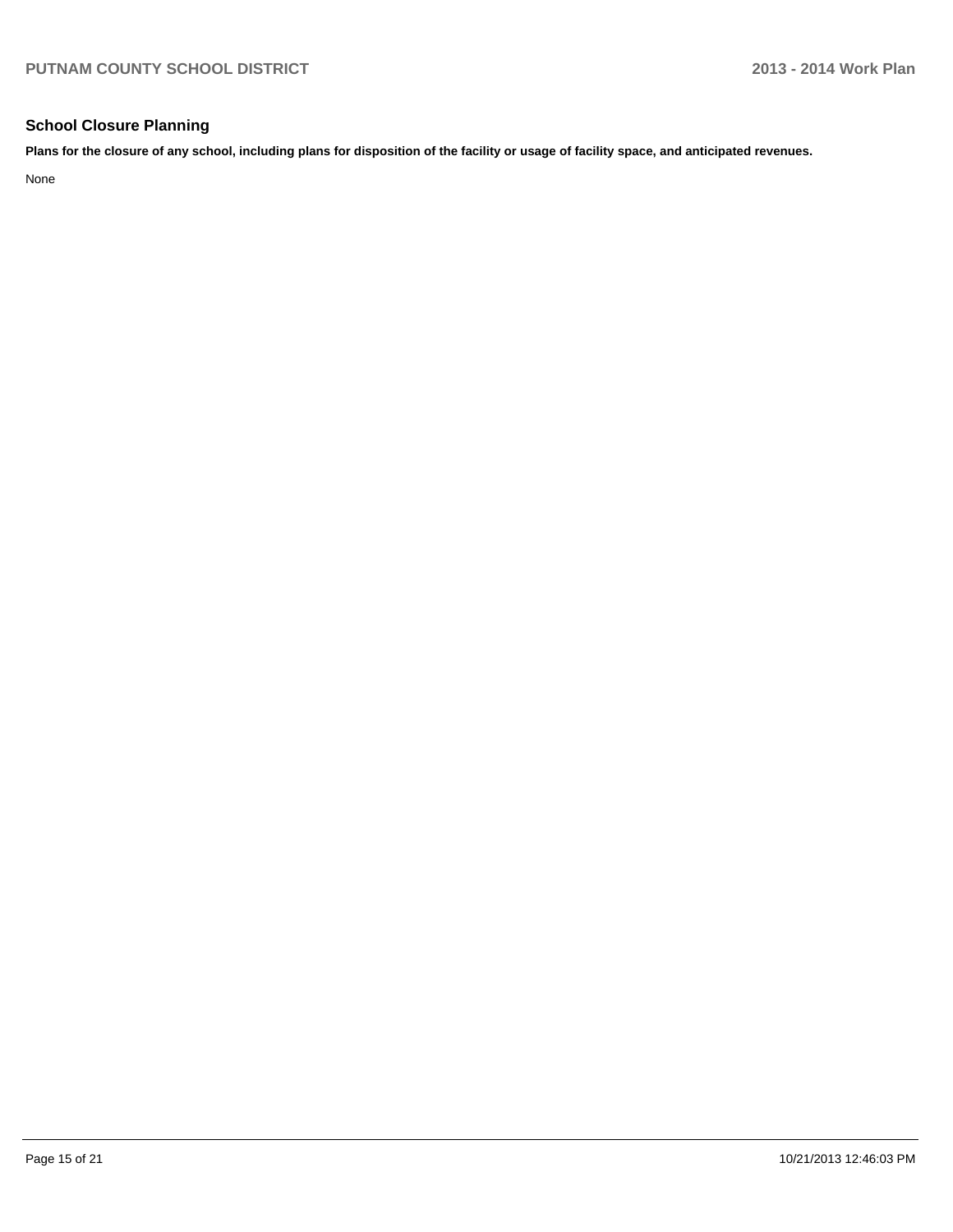## **School Closure Planning**

**Plans for the closure of any school, including plans for disposition of the facility or usage of facility space, and anticipated revenues.**

None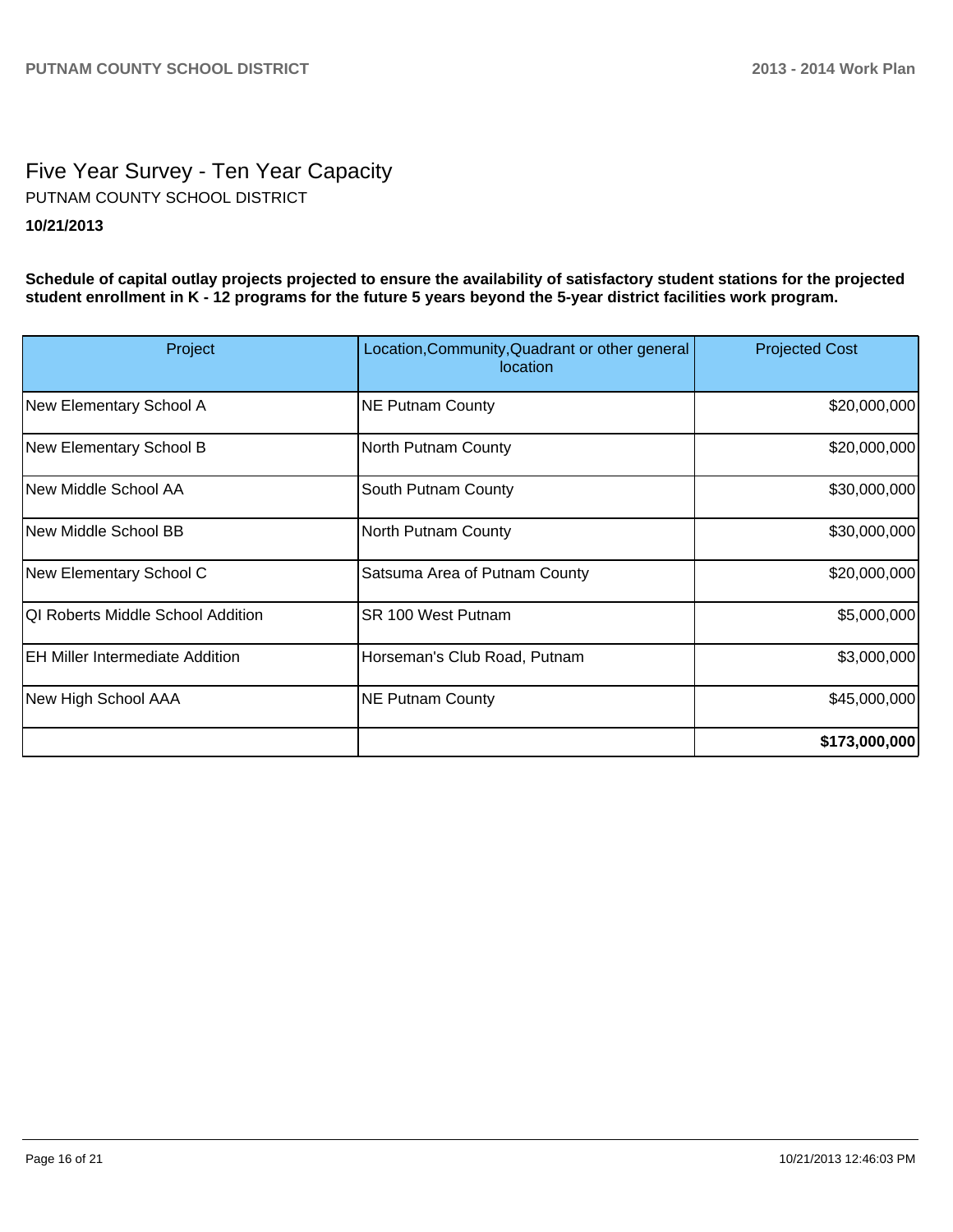# Five Year Survey - Ten Year Capacity **10/21/2013** PUTNAM COUNTY SCHOOL DISTRICT

**Schedule of capital outlay projects projected to ensure the availability of satisfactory student stations for the projected student enrollment in K - 12 programs for the future 5 years beyond the 5-year district facilities work program.**

| Project                                | Location, Community, Quadrant or other general<br>location | <b>Projected Cost</b> |
|----------------------------------------|------------------------------------------------------------|-----------------------|
| New Elementary School A                | <b>NE Putnam County</b>                                    | \$20,000,000          |
| New Elementary School B                | North Putnam County                                        | \$20,000,000          |
| New Middle School AA                   | South Putnam County                                        | \$30,000,000          |
| New Middle School BB                   | North Putnam County                                        | \$30,000,000          |
| New Elementary School C                | Satsuma Area of Putnam County                              | \$20,000,000          |
| QI Roberts Middle School Addition      | SR 100 West Putnam                                         | \$5,000,000           |
| <b>EH Miller Intermediate Addition</b> | Horseman's Club Road, Putnam                               | \$3,000,000           |
| New High School AAA                    | <b>NE Putnam County</b>                                    | \$45,000,000          |
|                                        |                                                            | \$173,000,000         |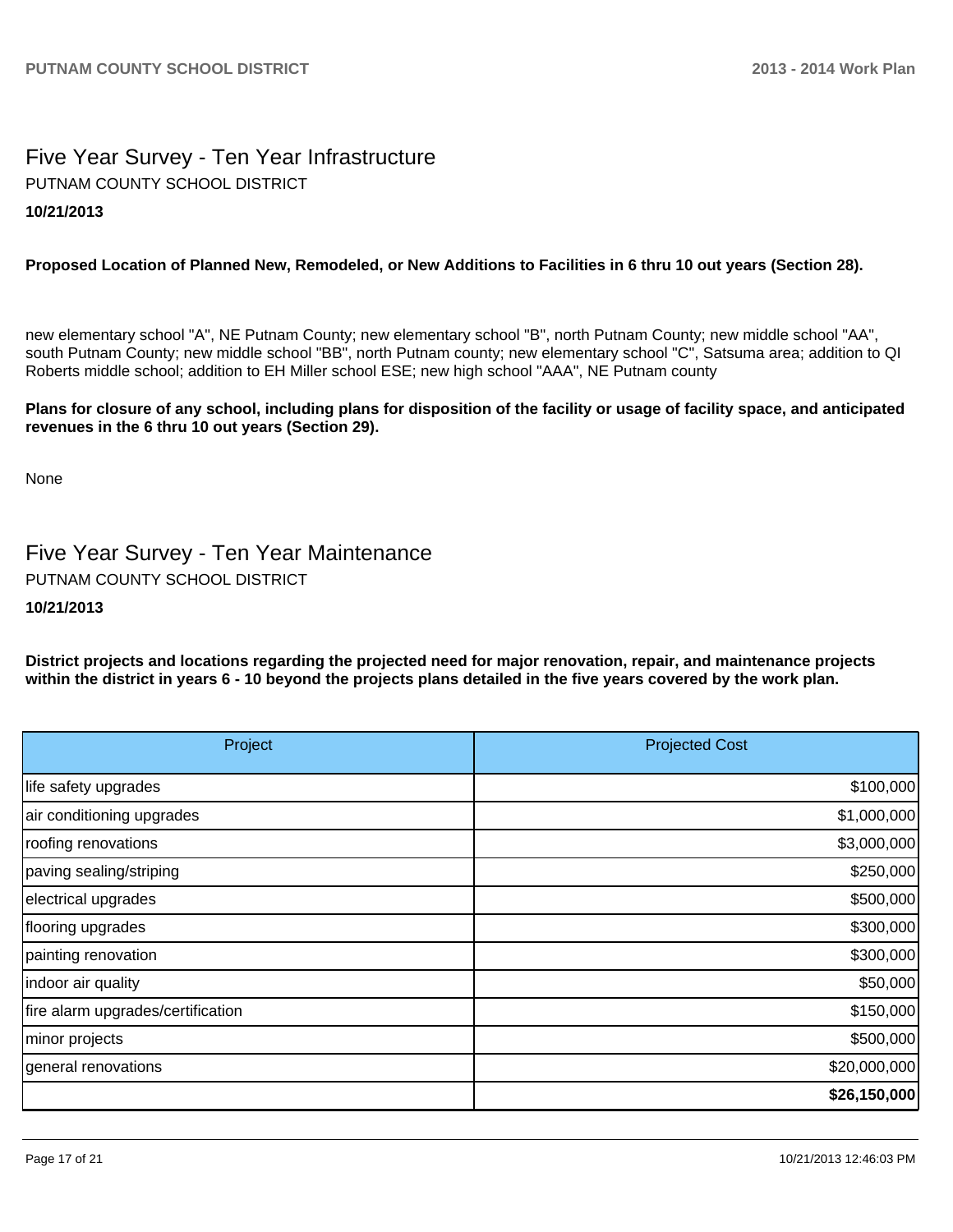# Five Year Survey - Ten Year Infrastructure **10/21/2013** PUTNAM COUNTY SCHOOL DISTRICT

## **Proposed Location of Planned New, Remodeled, or New Additions to Facilities in 6 thru 10 out years (Section 28).**

new elementary school "A", NE Putnam County; new elementary school "B", north Putnam County; new middle school "AA", south Putnam County; new middle school "BB", north Putnam county; new elementary school "C", Satsuma area; addition to QI Roberts middle school; addition to EH Miller school ESE; new high school "AAA", NE Putnam county

#### **Plans for closure of any school, including plans for disposition of the facility or usage of facility space, and anticipated revenues in the 6 thru 10 out years (Section 29).**

None

# Five Year Survey - Ten Year Maintenance PUTNAM COUNTY SCHOOL DISTRICT

### **10/21/2013**

**District projects and locations regarding the projected need for major renovation, repair, and maintenance projects within the district in years 6 - 10 beyond the projects plans detailed in the five years covered by the work plan.**

| Project                           | <b>Projected Cost</b> |
|-----------------------------------|-----------------------|
| life safety upgrades              | \$100,000             |
| air conditioning upgrades         | \$1,000,000           |
| roofing renovations               | \$3,000,000           |
| paving sealing/striping           | \$250,000             |
| electrical upgrades               | \$500,000             |
| flooring upgrades                 | \$300,000             |
| painting renovation               | \$300,000             |
| indoor air quality                | \$50,000              |
| fire alarm upgrades/certification | \$150,000             |
| minor projects                    | \$500,000             |
| general renovations               | \$20,000,000          |
|                                   | \$26,150,000          |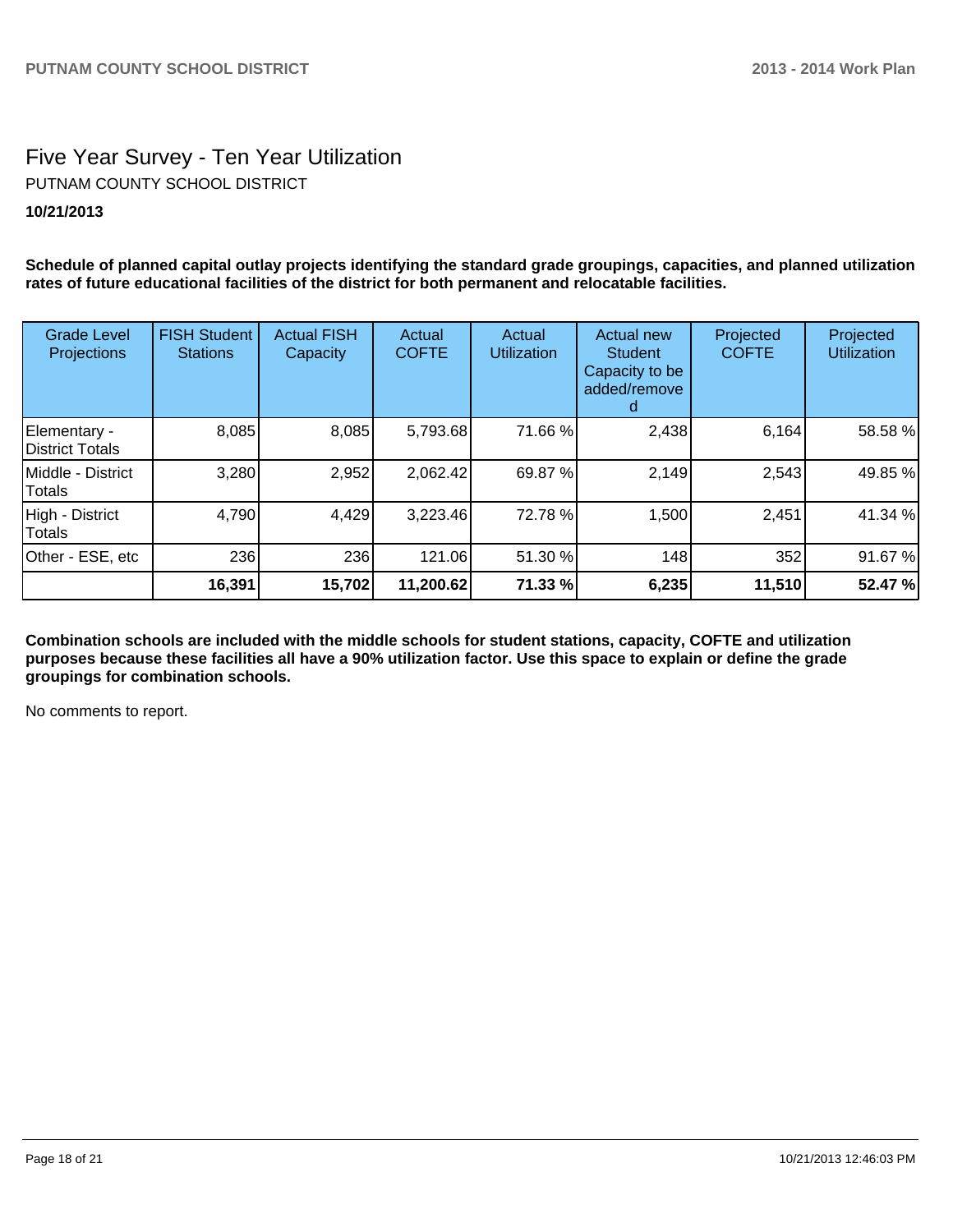# Five Year Survey - Ten Year Utilization **10/21/2013** PUTNAM COUNTY SCHOOL DISTRICT

**Schedule of planned capital outlay projects identifying the standard grade groupings, capacities, and planned utilization rates of future educational facilities of the district for both permanent and relocatable facilities.**

| <b>Grade Level</b><br>Projections | <b>FISH Student</b><br><b>Stations</b> | <b>Actual FISH</b><br>Capacity | Actual<br><b>COFTE</b> | Actual<br><b>Utilization</b> | Actual new<br><b>Student</b><br>Capacity to be<br>added/remove | Projected<br><b>COFTE</b> | Projected<br><b>Utilization</b> |
|-----------------------------------|----------------------------------------|--------------------------------|------------------------|------------------------------|----------------------------------------------------------------|---------------------------|---------------------------------|
| Elementary -<br>District Totals   | 8,085                                  | 8,085                          | 5,793.68               | 71.66 %                      | 2,438                                                          | 6,164                     | 58.58 %                         |
| Middle - District<br>Totals       | 3,280                                  | 2,952                          | 2,062.42               | 69.87 %                      | 2,149                                                          | 2,543                     | 49.85 %                         |
| High - District<br>Totals         | 4,790                                  | 4,429                          | 3,223.46               | 72.78 %                      | 1,500                                                          | 2,451                     | 41.34 %                         |
| Other - ESE, etc                  | <b>236</b>                             | 236                            | 121.06                 | 51.30 %                      | 148                                                            | 352                       | 91.67 %                         |
|                                   | 16,391                                 | 15,702                         | 11,200.62              | 71.33 %                      | 6,235                                                          | 11,510                    | 52.47 %                         |

**Combination schools are included with the middle schools for student stations, capacity, COFTE and utilization purposes because these facilities all have a 90% utilization factor. Use this space to explain or define the grade groupings for combination schools.**

No comments to report.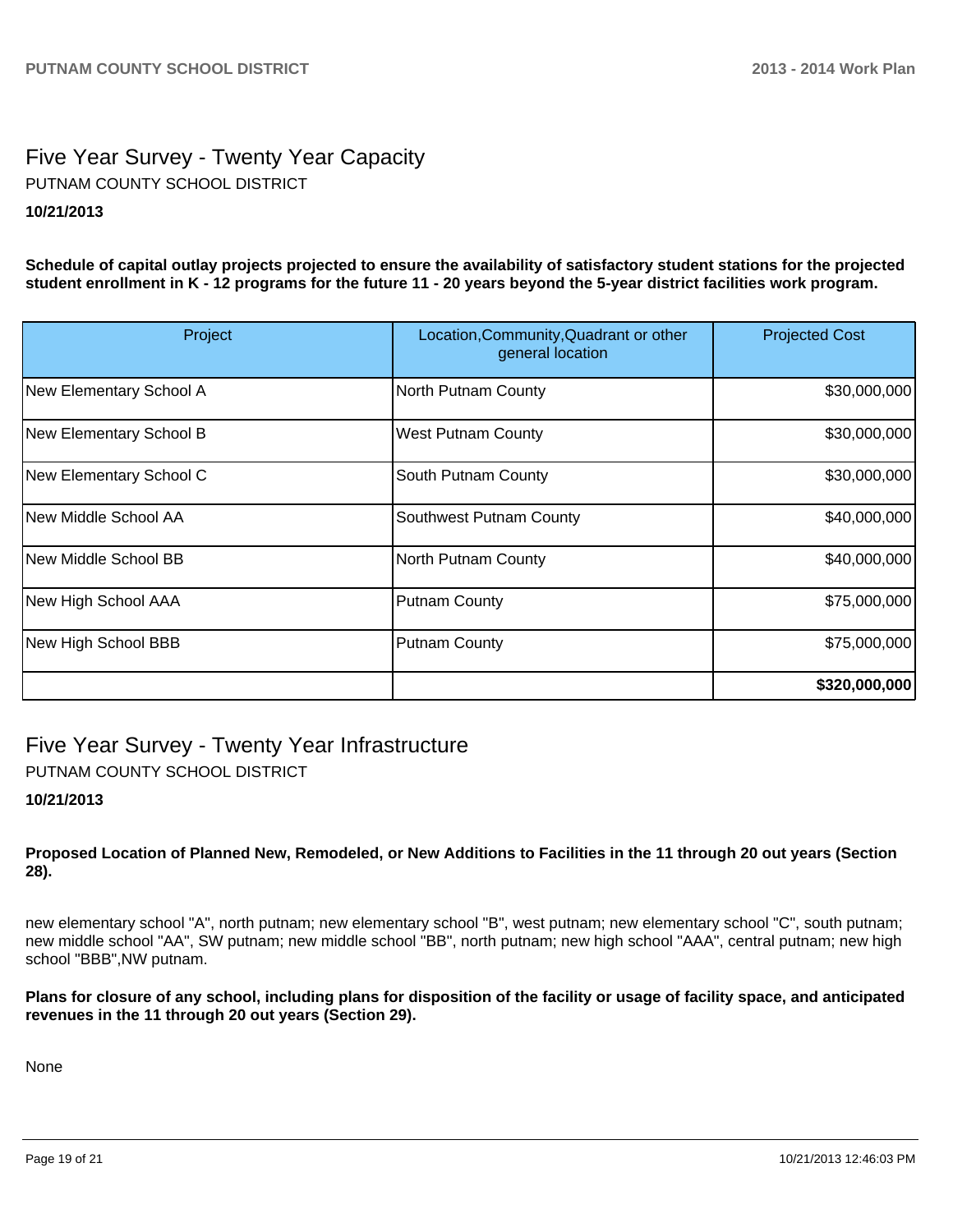# Five Year Survey - Twenty Year Capacity **10/21/2013** PUTNAM COUNTY SCHOOL DISTRICT

**Schedule of capital outlay projects projected to ensure the availability of satisfactory student stations for the projected student enrollment in K - 12 programs for the future 11 - 20 years beyond the 5-year district facilities work program.**

| Project                 | Location, Community, Quadrant or other<br>general location | <b>Projected Cost</b> |
|-------------------------|------------------------------------------------------------|-----------------------|
| New Elementary School A | North Putnam County                                        | \$30,000,000          |
| New Elementary School B | <b>West Putnam County</b>                                  | \$30,000,000          |
| New Elementary School C | South Putnam County                                        | \$30,000,000          |
| INew Middle School AA   | Southwest Putnam County                                    | \$40,000,000          |
| New Middle School BB    | North Putnam County                                        | \$40,000,000          |
| New High School AAA     | <b>Putnam County</b>                                       | \$75,000,000          |
| New High School BBB     | <b>Putnam County</b>                                       | \$75,000,000          |
|                         |                                                            | \$320,000,000         |

Five Year Survey - Twenty Year Infrastructure PUTNAM COUNTY SCHOOL DISTRICT

## **10/21/2013**

**Proposed Location of Planned New, Remodeled, or New Additions to Facilities in the 11 through 20 out years (Section 28).**

new elementary school "A", north putnam; new elementary school "B", west putnam; new elementary school "C", south putnam; new middle school "AA", SW putnam; new middle school "BB", north putnam; new high school "AAA", central putnam; new high school "BBB",NW putnam.

**Plans for closure of any school, including plans for disposition of the facility or usage of facility space, and anticipated revenues in the 11 through 20 out years (Section 29).**

None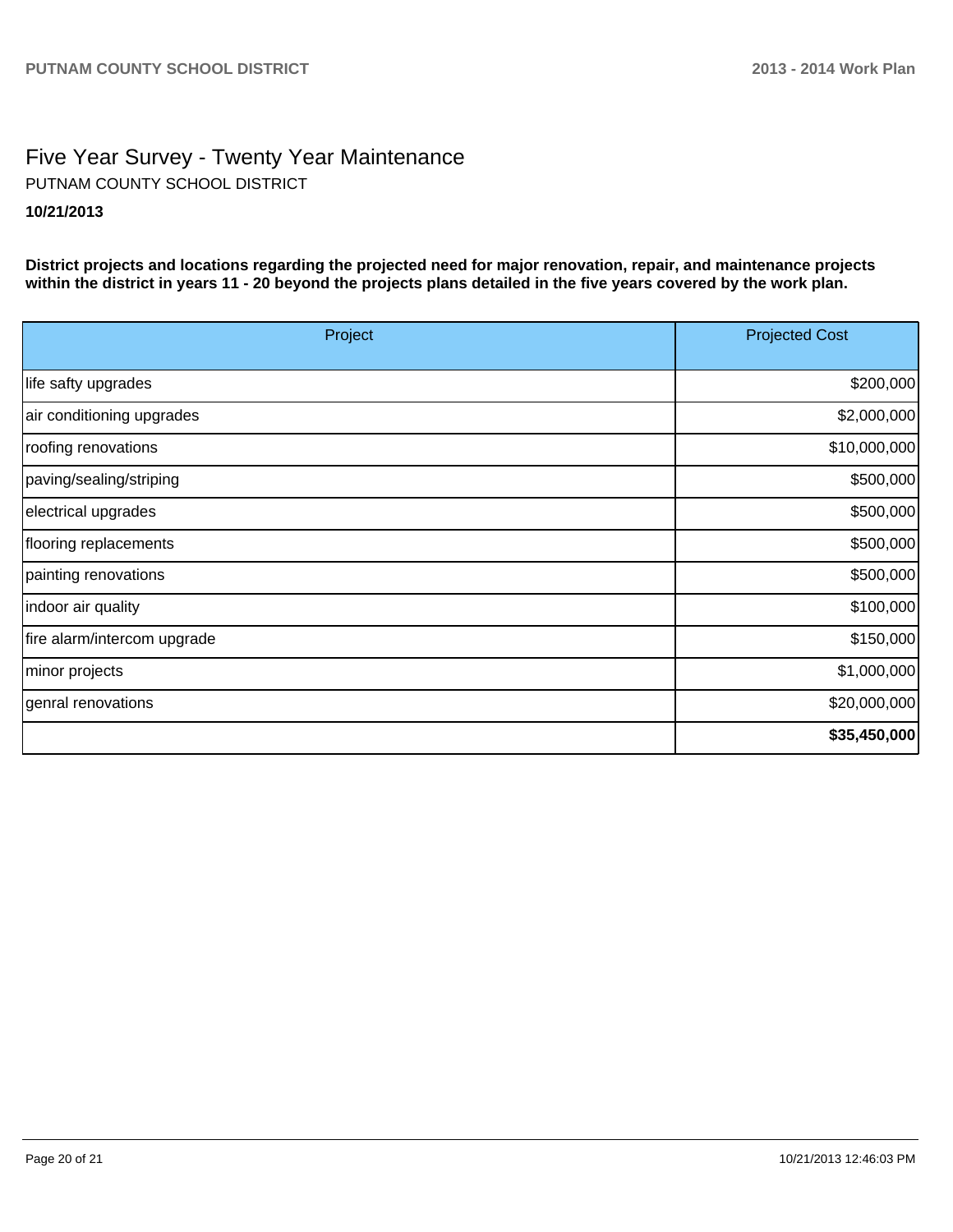# Five Year Survey - Twenty Year Maintenance **10/21/2013** PUTNAM COUNTY SCHOOL DISTRICT

**District projects and locations regarding the projected need for major renovation, repair, and maintenance projects within the district in years 11 - 20 beyond the projects plans detailed in the five years covered by the work plan.**

| Project                     | <b>Projected Cost</b> |
|-----------------------------|-----------------------|
| life safty upgrades         | \$200,000             |
| air conditioning upgrades   | \$2,000,000           |
| roofing renovations         | \$10,000,000          |
| paving/sealing/striping     | \$500,000             |
| electrical upgrades         | \$500,000             |
| flooring replacements       | \$500,000             |
| painting renovations        | \$500,000             |
| indoor air quality          | \$100,000             |
| fire alarm/intercom upgrade | \$150,000             |
| minor projects              | \$1,000,000           |
| genral renovations          | \$20,000,000          |
|                             | \$35,450,000          |